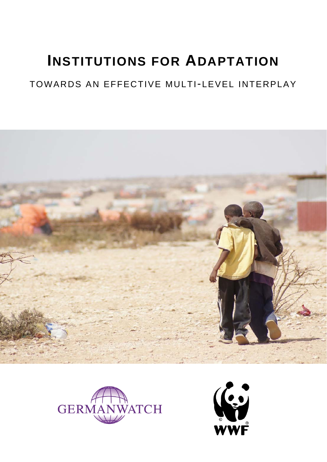# **INSTITUTIONS FOR ADAPTATION**

## TOWARDS AN EFFECTIVE MULTI-LEVEL INTERPLAY





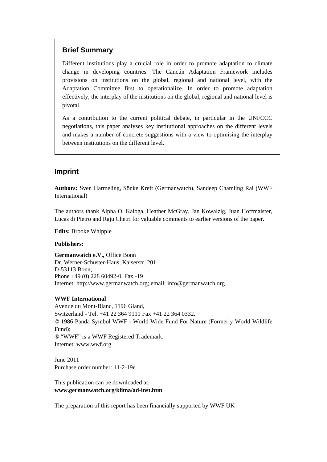### **Brief Summary**

Different institutions play a crucial role in order to promote adaptation to climate change in developing countries. The Cancún Adaptation Framework includes provisions on institutions on the global, regional and national level, with the Adaptation Committee first to operationalize. In order to promote adaptation effectively, the interplay of the institutions on the global, regional and national level is pivotal.

As a contribution to the current political debate, in particular in the UNFCCC negotiations, this paper analyses key institutional approaches on the different levels and makes a number of concrete suggestions with a view to optimising the interplay between institutions on the different level.

### **Imprint**

**Authors:** Sven Harmeling, Sönke Kreft (Germanwatch), Sandeep Chamling Rai (WWF International)

The authors thank Alpha O. Kaloga, Heather McGray, Jan Kowalzig, Juan Hoffmaister, Lucas di Pietro and Raju Chetri for valuable comments to earlier versions of the paper.

**Edits:** Brooke Whipple

### **Publishers:**

**Germanwatch e.V.,** Office Bonn Dr. Werner-Schuster-Haus, Kaiserstr. 201 D-53113 Bonn, Phone +49 (0) 228 60492-0, Fax -19 Internet: http://www.germanwatch.org; email: info@germanwatch.org

### **WWF International**

Avenue du Mont-Blanc, 1196 Gland, Switzerland - Tel. +41 22 364 9111 Fax +41 22 364 0332. © 1986 Panda Symbol WWF - World Wide Fund For Nature (Formerly World Wildlife Fund); ® "WWF" is a WWF Registered Trademark. Internet: www.wwf.org

June 2011 Purchase order number: 11-2-19e

This publication can be downloaded at: **www.germanwatch.org/klima/ad-inst.htm** 

The preparation of this report has been financially supported by WWF UK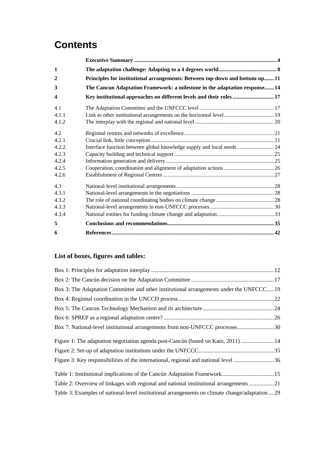## **Contents**

| 1                       |                                                                              |  |
|-------------------------|------------------------------------------------------------------------------|--|
| $\mathbf{2}$            | Principles for institutional arrangements: Between top-down and bottom-up 11 |  |
| 3                       | The Cancun Adaptation Framework: a milestone in the adaptation response 14   |  |
| $\overline{\mathbf{4}}$ | Key institutional approaches on different levels and their roles 17          |  |
| 4.1                     |                                                                              |  |
| 4.1.1                   |                                                                              |  |
| 4.1.2                   |                                                                              |  |
| 4.2                     |                                                                              |  |
| 4.2.1                   |                                                                              |  |
| 4.2.2                   | Interface function between global knowledge supply and local needs 24        |  |
| 4.2.3                   |                                                                              |  |
| 4.2.4                   |                                                                              |  |
| 4.2.5                   |                                                                              |  |
| 4.2.6                   |                                                                              |  |
| 4.3                     |                                                                              |  |
| 4.3.1                   |                                                                              |  |
| 4.3.2                   |                                                                              |  |
| 4.3.3                   |                                                                              |  |
| 4.3.4                   |                                                                              |  |
| 5                       |                                                                              |  |
| 6                       |                                                                              |  |

### **List of boxes, figures and tables:**

| Box 3: The Adaptation Committee and other institutional arrangements under the UNFCCC19       |  |
|-----------------------------------------------------------------------------------------------|--|
|                                                                                               |  |
|                                                                                               |  |
|                                                                                               |  |
| Box 7: National-level institutional arrangements from non-UNFCCC processes30                  |  |
| Figure 1: The adaptation negotiation agenda post-Cancún (based on Kato, 2011)  14             |  |
|                                                                                               |  |
| Figure 3: Key responsibilities of the international, regional and national level 36           |  |
|                                                                                               |  |
| Table 2: Overview of linkages with regional and national institutional arrangements 21        |  |
| Table 3: Examples of national-level institutional arrangements on climate change/adaptation29 |  |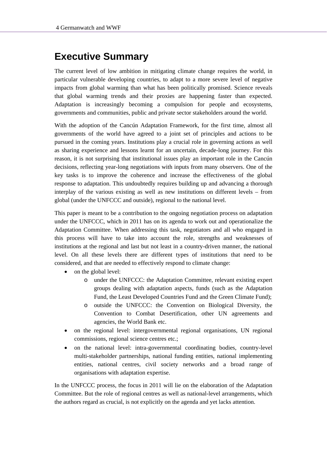## **Executive Summary**

The current level of low ambition in mitigating climate change requires the world, in particular vulnerable developing countries, to adapt to a more severe level of negative impacts from global warming than what has been politically promised. Science reveals that global warming trends and their proxies are happening faster than expected. Adaptation is increasingly becoming a compulsion for people and ecosystems, governments and communities, public and private sector stakeholders around the world.

With the adoption of the Cancún Adaptation Framework, for the first time, almost all governments of the world have agreed to a joint set of principles and actions to be pursued in the coming years. Institutions play a crucial role in governing actions as well as sharing experience and lessons learnt for an uncertain, decade-long journey. For this reason, it is not surprising that institutional issues play an important role in the Cancún decisions, reflecting year-long negotiations with inputs from many observers. One of the key tasks is to improve the coherence and increase the effectiveness of the global response to adaptation. This undoubtedly requires building up and advancing a thorough interplay of the various existing as well as new institutions on different levels – from global (under the UNFCCC and outside), regional to the national level.

This paper is meant to be a contribution to the ongoing negotiation process on adaptation under the UNFCCC, which in 2011 has on its agenda to work out and operationalize the Adaptation Committee. When addressing this task, negotiators and all who engaged in this process will have to take into account the role, strengths and weaknesses of institutions at the regional and last but not least in a country-driven manner, the national level. On all these levels there are different types of institutions that need to be considered, and that are needed to effectively respond to climate change:

- on the global level:
	- o under the UNFCCC: the Adaptation Committee, relevant existing expert groups dealing with adaptation aspects, funds (such as the Adaptation Fund, the Least Developed Countries Fund and the Green Climate Fund);
	- o outside the UNFCCC: the Convention on Biological Diversity, the Convention to Combat Desertification, other UN agreements and agencies, the World Bank etc.
- on the regional level: intergovernmental regional organisations, UN regional commissions, regional science centres etc.;
- on the national level: intra-governmental coordinating bodies, country-level multi-stakeholder partnerships, national funding entities, national implementing entities, national centres, civil society networks and a broad range of organisations with adaptation expertise.

In the UNFCCC process, the focus in 2011 will lie on the elaboration of the Adaptation Committee. But the role of regional centres as well as national-level arrangements, which the authors regard as crucial, is not explicitly on the agenda and yet lacks attention.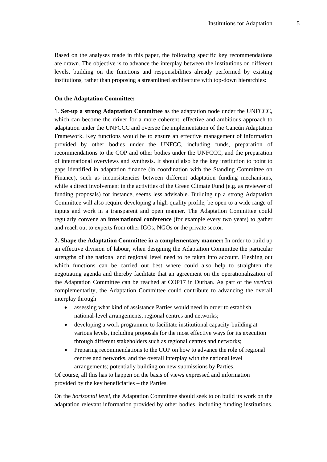Based on the analyses made in this paper, the following specific key recommendations are drawn. The objective is to advance the interplay between the institutions on different levels, building on the functions and responsibilities already performed by existing institutions, rather than proposing a streamlined architecture with top-down hierarchies:

#### **On the Adaptation Committee:**

1. **Set-up a strong Adaptation Committee** as the adaptation node under the UNFCCC, which can become the driver for a more coherent, effective and ambitious approach to adaptation under the UNFCCC and oversee the implementation of the Cancún Adaptation Framework. Key functions would be to ensure an effective management of information provided by other bodies under the UNFCC, including funds, preparation of recommendations to the COP and other bodies under the UNFCCC, and the preparation of international overviews and synthesis. It should also be the key institution to point to gaps identified in adaptation finance (in coordination with the Standing Committee on Finance), such as inconsistencies between different adaptation funding mechanisms, while a direct involvement in the activities of the Green Climate Fund (e.g. as reviewer of funding proposals) for instance, seems less advisable. Building up a strong Adaptation Committee will also require developing a high-quality profile, be open to a wide range of inputs and work in a transparent and open manner. The Adaptation Committee could regularly convene an **international conference** (for example every two years) to gather and reach out to experts from other IGOs, NGOs or the private sector.

**2. Shape the Adaptation Committee in a complementary manner:** In order to build up an effective division of labour, when designing the Adaptation Committee the particular strengths of the national and regional level need to be taken into account. Fleshing out which functions can be carried out best where could also help to straighten the negotiating agenda and thereby facilitate that an agreement on the operationalization of the Adaptation Committee can be reached at COP17 in Durban. As part of the *vertical* complementarity, the Adaptation Committee could contribute to advancing the overall interplay through

- assessing what kind of assistance Parties would need in order to establish national-level arrangements, regional centres and networks;
- developing a work programme to facilitate institutional capacity-building at various levels, including proposals for the most effective ways for its execution through different stakeholders such as regional centres and networks;
- Preparing recommendations to the COP on how to advance the role of regional centres and networks, and the overall interplay with the national level arrangements; potentially building on new submissions by Parties.

Of course, all this has to happen on the basis of views expressed and information provided by the key beneficiaries – the Parties.

On the *horizontal level*, the Adaptation Committee should seek to on build its work on the adaptation relevant information provided by other bodies, including funding institutions.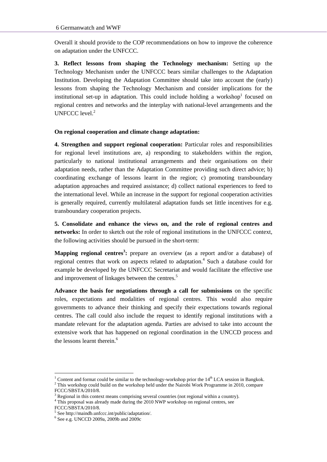Overall it should provide to the COP recommendations on how to improve the coherence on adaptation under the UNFCCC.

**3. Reflect lessons from shaping the Technology mechanism:** Setting up the Technology Mechanism under the UNFCCC bears similar challenges to the Adaptation Institution. Developing the Adaptation Committee should take into account the (early) lessons from shaping the Technology Mechanism and consider implications for the institutional set-up in adaptation. This could include holding a workshop $1$  focused on regional centres and networks and the interplay with national-level arrangements and the UNFCCC level.<sup>2</sup>

### **On regional cooperation and climate change adaptation:**

**4. Strengthen and support regional cooperation:** Particular roles and responsibilities for regional level institutions are, a) responding to stakeholders within the region, particularly to national institutional arrangements and their organisations on their adaptation needs, rather than the Adaptation Committee providing such direct advice; b) coordinating exchange of lessons learnt in the region; c) promoting transboundary adaptation approaches and required assistance; d) collect national experiences to feed to the international level. While an increase in the support for regional cooperation activities is generally required, currently multilateral adaptation funds set little incentives for e.g. transboundary cooperation projects.

**5. Consolidate and enhance the views on, and the role of regional centres and networks:** In order to sketch out the role of regional institutions in the UNFCCC context, the following activities should be pursued in the short-term:

**Mapping regional centres<sup>3</sup> :** prepare an overview (as a report and/or a database) of regional centres that work on aspects related to adaptation.<sup>4</sup> Such a database could for example be developed by the UNFCCC Secretariat and would facilitate the effective use and improvement of linkages between the centres.<sup>5</sup>

**Advance the basis for negotiations through a call for submissions** on the specific roles, expectations and modalities of regional centres. This would also require governments to advance their thinking and specify their expectations towards regional centres. The call could also include the request to identify regional institutions with a mandate relevant for the adaptation agenda. Parties are advised to take into account the extensive work that has happened on regional coordination in the UNCCD process and the lessons learnt therein. $6$ 

<sup>&</sup>lt;sup>1</sup> Content and format could be similar to the technology-workshop prior the  $14<sup>th</sup> LCA$  session in Bangkok.  $2$  This workshop could build on the workshop held under the Nairobi Work Programme in 2010, compare

FCCC/SBSTA/2010/8.

<sup>3</sup> Regional in this context means comprising several countries (not regional within a country). 4

<sup>&</sup>lt;sup>4</sup> This proposal was already made during the 2010 NWP workshop on regional centres, see

FCCC/SBSTA/2010/8.

<sup>5</sup> See http://maindb.unfccc.int/public/adaptation/.

<sup>6</sup> See e.g. UNCCD 2009a, 2009b and 2009c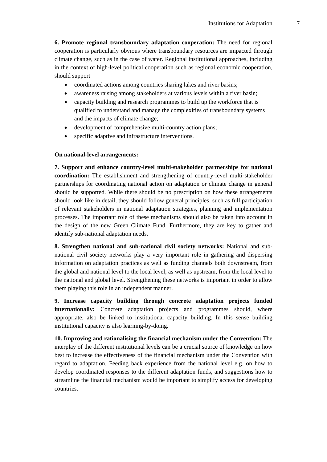**6. Promote regional transboundary adaptation cooperation:** The need for regional cooperation is particularly obvious where transboundary resources are impacted through climate change, such as in the case of water. Regional institutional approaches, including in the context of high-level political cooperation such as regional economic cooperation, should support

- coordinated actions among countries sharing lakes and river basins;
- awareness raising among stakeholders at various levels within a river basin;
- capacity building and research programmes to build up the workforce that is qualified to understand and manage the complexities of transboundary systems and the impacts of climate change;
- development of comprehensive multi-country action plans;
- specific adaptive and infrastructure interventions.

### **On national-level arrangements:**

**7. Support and enhance country-level multi-stakeholder partnerships for national coordination:** The establishment and strengthening of country-level multi-stakeholder partnerships for coordinating national action on adaptation or climate change in general should be supported. While there should be no prescription on how these arrangements should look like in detail, they should follow general principles, such as full participation of relevant stakeholders in national adaptation strategies, planning and implementation processes. The important role of these mechanisms should also be taken into account in the design of the new Green Climate Fund. Furthermore, they are key to gather and identify sub-national adaptation needs.

**8. Strengthen national and sub-national civil society networks:** National and subnational civil society networks play a very important role in gathering and dispersing information on adaptation practices as well as funding channels both downstream, from the global and national level to the local level, as well as upstream, from the local level to the national and global level. Strengthening these networks is important in order to allow them playing this role in an independent manner.

**9. Increase capacity building through concrete adaptation projects funded internationally:** Concrete adaptation projects and programmes should, where appropriate, also be linked to institutional capacity building. In this sense building institutional capacity is also learning-by-doing.

**10. Improving and rationalising the financial mechanism under the Convention:** The interplay of the different institutional levels can be a crucial source of knowledge on how best to increase the effectiveness of the financial mechanism under the Convention with regard to adaptation. Feeding back experience from the national level e.g. on how to develop coordinated responses to the different adaptation funds, and suggestions how to streamline the financial mechanism would be important to simplify access for developing countries.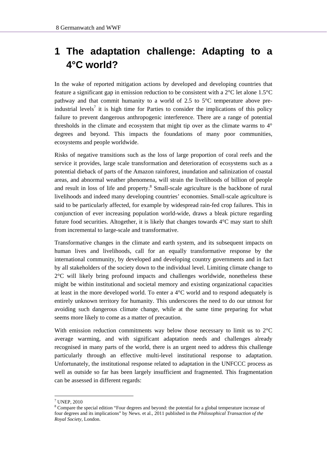## **1 The adaptation challenge: Adapting to a 4°C world?**

In the wake of reported mitigation actions by developed and developing countries that feature a significant gap in emission reduction to be consistent with a 2°C let alone 1.5°C pathway and that commit humanity to a world of 2.5 to 5°C temperature above preindustrial levels<sup>7</sup> it is high time for Parties to consider the implications of this policy failure to prevent dangerous anthropogenic interference. There are a range of potential thresholds in the climate and ecosystem that might tip over as the climate warms to 4° degrees and beyond. This impacts the foundations of many poor communities, ecosystems and people worldwide.

Risks of negative transitions such as the loss of large proportion of coral reefs and the service it provides, large scale transformation and deterioration of ecosystems such as a potential dieback of parts of the Amazon rainforest, inundation and salinization of coastal areas, and abnormal weather phenomena, will strain the livelihoods of billion of people and result in loss of life and property.<sup>8</sup> Small-scale agriculture is the backbone of rural livelihoods and indeed many developing countries' economies. Small-scale agriculture is said to be particularly affected, for example by widespread rain-fed crop failures. This in conjunction of ever increasing population world-wide, draws a bleak picture regarding future food securities. Altogether, it is likely that changes towards 4°C may start to shift from incremental to large-scale and transformative.

Transformative changes in the climate and earth system, and its subsequent impacts on human lives and livelihoods, call for an equally transformative response by the international community, by developed and developing country governments and in fact by all stakeholders of the society down to the individual level. Limiting climate change to  $2^{\circ}$ C will likely bring profound impacts and challenges worldwide, nonetheless these might be within institutional and societal memory and existing organizational capacities at least in the more developed world. To enter a 4°C world and to respond adequately is entirely unknown territory for humanity. This underscores the need to do our utmost for avoiding such dangerous climate change, while at the same time preparing for what seems more likely to come as a matter of precaution.

With emission reduction commitments way below those necessary to limit us to  $2^{\circ}C$ average warming, and with significant adaptation needs and challenges already recognised in many parts of the world, there is an urgent need to address this challenge particularly through an effective multi-level institutional response to adaptation. Unfortunately, the institutional response related to adaptation in the UNFCCC process as well as outside so far has been largely insufficient and fragmented. This fragmentation can be assessed in different regards:

<sup>7</sup> UNEP, 2010

<sup>&</sup>lt;sup>8</sup> Compare the special edition "Four degrees and beyond: the potential for a global temperature increase of four degrees and its implications" by News. et al., 2011 published in the *Philosophical Transaction of the Royal Society*, London.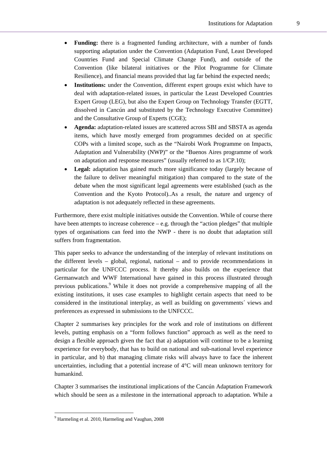- **Funding:** there is a fragmented funding architecture, with a number of funds supporting adaptation under the Convention (Adaptation Fund, Least Developed Countries Fund and Special Climate Change Fund), and outside of the Convention (like bilateral initiatives or the Pilot Programme for Climate Resilience), and financial means provided that lag far behind the expected needs;
- **Institutions:** under the Convention, different expert groups exist which have to deal with adaptation-related issues, in particular the Least Developed Countries Expert Group (LEG), but also the Expert Group on Technology Transfer (EGTT, dissolved in Cancún and substituted by the Technology Executive Committee) and the Consultative Group of Experts (CGE);
- **Agenda:** adaptation-related issues are scattered across SBI and SBSTA as agenda items, which have mostly emerged from programmes decided on at specific COPs with a limited scope, such as the "Nairobi Work Programme on Impacts, Adaptation and Vulnerability (NWP)" or the "Buenos Aires programme of work on adaptation and response measures" (usually referred to as 1/CP.10);
- Legal: adaptation has gained much more significance today (largely because of the failure to deliver meaningful mitigation) than compared to the state of the debate when the most significant legal agreements were established (such as the Convention and the Kyoto Protocol)..As a result, the nature and urgency of adaptation is not adequately reflected in these agreements.

Furthermore, there exist multiple initiatives outside the Convention. While of course there have been attempts to increase coherence  $-e.g.$  through the "action pledges" that multiple types of organisations can feed into the NWP - there is no doubt that adaptation still suffers from fragmentation.

This paper seeks to advance the understanding of the interplay of relevant institutions on the different levels – global, regional, national – and to provide recommendations in particular for the UNFCCC process. It thereby also builds on the experience that Germanwatch and WWF International have gained in this process illustrated through previous publications.<sup>9</sup> While it does not provide a comprehensive mapping of all the existing institutions, it uses case examples to highlight certain aspects that need to be considered in the institutional interplay, as well as building on governments´ views and preferences as expressed in submissions to the UNFCCC.

Chapter 2 summarises key principles for the work and role of institutions on different levels, putting emphasis on a "form follows function" approach as well as the need to design a flexible approach given the fact that a) adaptation will continue to be a learning experience for everybody, that has to build on national and sub-national level experience in particular, and b) that managing climate risks will always have to face the inherent uncertainties, including that a potential increase of  $4^{\circ}$ C will mean unknown territory for humankind.

Chapter 3 summarises the institutional implications of the Cancún Adaptation Framework which should be seen as a milestone in the international approach to adaptation. While a

<sup>&</sup>lt;sup>9</sup> Harmeling et al. 2010, Harmeling and Vaughan, 2008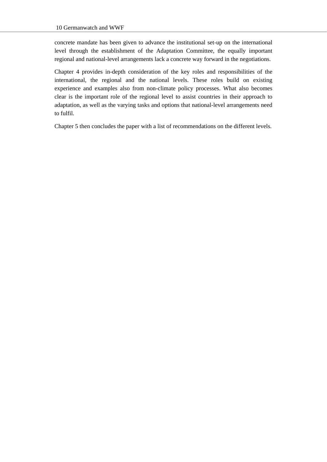concrete mandate has been given to advance the institutional set-up on the international level through the establishment of the Adaptation Committee, the equally important regional and national-level arrangements lack a concrete way forward in the negotiations.

Chapter 4 provides in-depth consideration of the key roles and responsibilities of the international, the regional and the national levels. These roles build on existing experience and examples also from non-climate policy processes. What also becomes clear is the important role of the regional level to assist countries in their approach to adaptation, as well as the varying tasks and options that national-level arrangements need to fulfil.

Chapter 5 then concludes the paper with a list of recommendations on the different levels.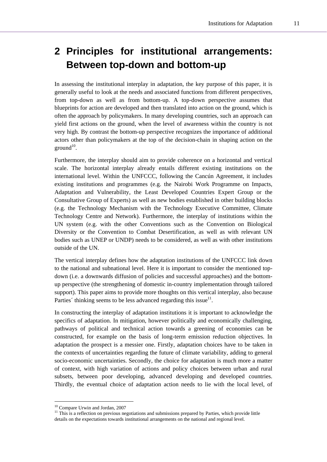## **2 Principles for institutional arrangements: Between top-down and bottom-up**

In assessing the institutional interplay in adaptation, the key purpose of this paper, it is generally useful to look at the needs and associated functions from different perspectives, from top-down as well as from bottom-up. A top-down perspective assumes that blueprints for action are developed and then translated into action on the ground, which is often the approach by policymakers. In many developing countries, such an approach can yield first actions on the ground, when the level of awareness within the country is not very high. By contrast the bottom-up perspective recognizes the importance of additional actors other than policymakers at the top of the decision-chain in shaping action on the  $ground<sup>10</sup>$ .

Furthermore, the interplay should aim to provide coherence on a horizontal and vertical scale. The horizontal interplay already entails different existing institutions on the international level. Within the UNFCCC, following the Cancún Agreement, it includes existing institutions and programmes (e.g. the Nairobi Work Programme on Impacts, Adaptation and Vulnerability, the Least Developed Countries Expert Group or the Consultative Group of Experts) as well as new bodies established in other building blocks (e.g. the Technology Mechanism with the Technology Executive Committee, Climate Technology Centre and Network). Furthermore, the interplay of institutions within the UN system (e.g. with the other Conventions such as the Convention on Biological Diversity or the Convention to Combat Desertification, as well as with relevant UN bodies such as UNEP or UNDP) needs to be considered, as well as with other institutions outside of the UN.

The vertical interplay defines how the adaptation institutions of the UNFCCC link down to the national and subnational level. Here it is important to consider the mentioned topdown (i.e. a downwards diffusion of policies and successful approaches) and the bottomup perspective (the strengthening of domestic in-country implementation through tailored support). This paper aims to provide more thoughts on this vertical interplay, also because Parties' thinking seems to be less advanced regarding this issue $11$ .

In constructing the interplay of adaptation institutions it is important to acknowledge the specifics of adaptation. In mitigation, however politically and economically challenging, pathways of political and technical action towards a greening of economies can be constructed, for example on the basis of long-term emission reduction objectives. In adaptation the prospect is a messier one. Firstly, adaptation choices have to be taken in the contexts of uncertainties regarding the future of climate variability, adding to general socio-economic uncertainties. Secondly, the choice for adaptation is much more a matter of context, with high variation of actions and policy choices between urban and rural subsets, between poor developing, advanced developing and developed countries. Thirdly, the eventual choice of adaptation action needs to lie with the local level, of

<sup>10</sup> Compare Urwin and Jordan, 2007

 $11$  This is a reflection on previous negotiations and submissions prepared by Parties, which provide little details on the expectations towards institutional arrangements on the national and regional level.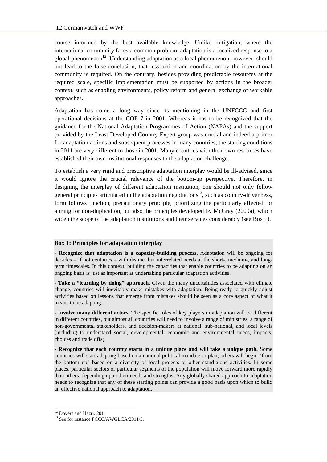course informed by the best available knowledge. Unlike mitigation, where the international community faces a common problem, adaptation is a localized response to a global phenomenon<sup>12</sup>. Understanding adaptation as a local phenomenon, however, should not lead to the false conclusion, that less action and coordination by the international community is required. On the contrary, besides providing predictable resources at the required scale, specific implementation must be supported by actions in the broader context, such as enabling environments, policy reform and general exchange of workable approaches.

Adaptation has come a long way since its mentioning in the UNFCCC and first operational decisions at the COP 7 in 2001. Whereas it has to be recognized that the guidance for the National Adaptation Programmes of Action (NAPAs) and the support provided by the Least Developed Country Expert group was crucial and indeed a primer for adaptation actions and subsequent processes in many countries, the starting conditions in 2011 are very different to those in 2001. Many countries with their own resources have established their own institutional responses to the adaptation challenge.

To establish a very rigid and prescriptive adaptation interplay would be ill-advised, since it would ignore the crucial relevance of the bottom-up perspective. Therefore, in designing the interplay of different adaptation institution, one should not only follow general principles articulated in the adaptation negotiations $13$ , such as country-drivenness, form follows function, precautionary principle, prioritizing the particularly affected, or aiming for non-duplication, but also the principles developed by McGray (2009a), which widen the scope of the adaptation institutions and their services considerably (see Box 1).

#### **Box 1: Principles for adaptation interplay**

- **Recognize that adaptation is a capacity-building process.** Adaptation will be ongoing for decades – if not centuries – with distinct but interrelated needs at the short-, medium-, and longterm timescales. In this context, building the capacities that enable countries to be adapting on an ongoing basis is just as important as undertaking particular adaptation activities.

- **Take a "learning by doing" approach.** Given the many uncertainties associated with climate change, countries will inevitably make mistakes with adaptation. Being ready to quickly adjust activities based on lessons that emerge from mistakes should be seen as a core aspect of what it means to be adapting.

- **Involve many different actors.** The specific roles of key players in adaptation will be different in different countries, but almost all countries will need to involve a range of ministries, a range of non-governmental stakeholders, and decision-makers at national, sub-national, and local levels (including to understand social, developmental, economic and environmental needs, impacts, choices and trade offs).

- **Recognize that each country starts in a unique place and will take a unique path.** Some countries will start adapting based on a national political mandate or plan; others will begin "from the bottom up" based on a diversity of local projects or other stand-alone activities. In some places, particular sectors or particular segments of the population will move forward more rapidly than others, depending upon their needs and strengths. Any globally shared approach to adaptation needs to recognize that any of these starting points can provide a good basis upon which to build an effective national approach to adaptation.

<sup>&</sup>lt;sup>12</sup> Dovers and Hezri, 2011

<sup>&</sup>lt;sup>13</sup> See for instance FCCC/AWGLCA/2011/3.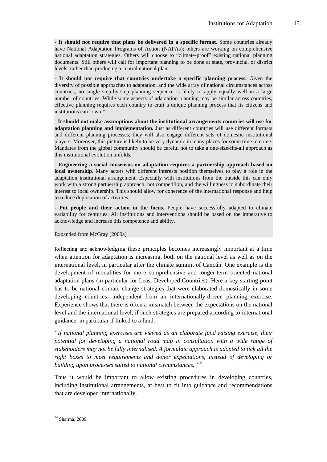- **It should not require that plans be delivered in a specific format.** Some countries already have National Adaptation Programs of Action (NAPAs); others are working on comprehensive national adaptation strategies. Others will choose to "climate-proof" existing national planning documents. Still others will call for important planning to be done at state, provincial, or district levels, rather than producing a central national plan.

- **It should not require that countries undertake a specific planning process.** Given the diversity of possible approaches to adaptation, and the wide array of national circumstances across countries, no single step-by-step planning sequence is likely to apply equally well in a large number of countries. While some aspects of adaptation planning may be similar across countries, effective planning requires each country to craft a unique planning process that its citizens and institutions can "own."

- **It should not make assumptions about the institutional arrangements countries will use for adaptation planning and implementation.** Just as different countries will use different formats and different planning processes, they will also engage different sets of domestic institutional players. Moreover, this picture is likely to be very dynamic in many places for some time to come. Mandates from the global community should be careful not to take a one-size-fits-all approach as this institutional evolution unfolds.

- **Engineering a social consensus on adaptation requires a partnership approach based on local ownership**. Many actors with different interests position themselves to play a role in the adaptation institutional arrangement. Especially with institutions from the outside this can only work with a strong partnership approach, not competition, and the willingness to subordinate their interest to local ownership. This should allow for coherence of the international response and help to reduce duplication of activities.

- **Put people and their action in the focus.** People have successfully adapted to climate variability for centuries. All institutions and interventions should be based on the imperative to acknowledge and increase this competence and ability.

#### Expanded from McGray (2009a)

Reflecting and acknowledging these principles becomes increasingly important at a time when attention for adaptation is increasing, both on the national level as well as on the international level, in particular after the climate summit of Cancún. One example is the development of modalities for more comprehensive and longer-term oriented national adaptation plans (in particular for Least Developed Countries). Here a key starting point has to be national climate change strategies that were elaborated domestically in some developing countries, independent from an internationally-driven planning exercise. Experience shows that there is often a mismatch between the expectations on the national level and the international level, if such strategies are prepared according to international guidance, in particular if linked to a fund:

*"If national planning exercises are viewed as an elaborate fund raising exercise, their potential for developing a national road map in consultation with a wide range of stakeholders may not be fully internalised. A formulaic approach is adopted to tick all the right boxes to meet requirements and donor expectations, instead of developing or building upon processes suited to national circumstances."14* 

Thus it would be important to allow existing procedures in developing countries, including institutional arrangements, at best to fit into guidance and recommendations that are developed internationally.

<sup>14</sup> Sharma, 2009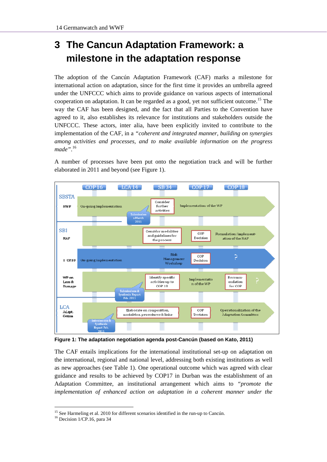## **3 The Cancun Adaptation Framework: a milestone in the adaptation response**

The adoption of the Cancún Adaptation Framework (CAF) marks a milestone for international action on adaptation, since for the first time it provides an umbrella agreed under the UNFCCC which aims to provide guidance on various aspects of international cooperation on adaptation. It can be regarded as a good, yet not sufficient outcome.<sup>15</sup> The way the CAF has been designed, and the fact that all Parties to the Convention have agreed to it, also establishes its relevance for institutions and stakeholders outside the UNFCCC. These actors, inter alia, have been explicitly invited to contribute to the implementation of the CAF, in a *"coherent and integrated manner, building on synergies among activities and processes, and to make available information on the progress made"*. 16

A number of processes have been put onto the negotiation track and will be further elaborated in 2011 and beyond (see Figure 1).



**Figure 1: The adaptation negotiation agenda post-Cancún (based on Kato, 2011)** 

The CAF entails implications for the international institutional set-up on adaptation on the international, regional and national level, addressing both existing institutions as well as new approaches (see Table 1). One operational outcome which was agreed with clear guidance and results to be achieved by COP17 in Durban was the establishment of an Adaptation Committee, an institutional arrangement which aims to *"promote the implementation of enhanced action on adaptation in a coherent manner under the* 

<sup>&</sup>lt;sup>15</sup> See Harmeling et al. 2010 for different scenarios identified in the run-up to Cancún. <sup>16</sup> Decision 1/CP.16, para 34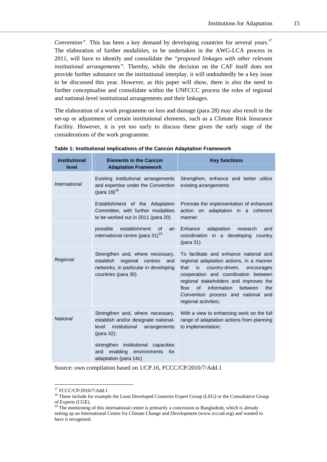*Convention"*. This has been a key demand by developing countries for several years.<sup>17</sup> The elaboration of further modalities, to be undertaken in the AWG-LCA process in 2011, will have to identify and consolidate the *"proposed linkages with other relevant institutional arrangements"*. Thereby, while the decision on the CAF itself does not provide further substance on the institutional interplay, it will undoubtedly be a key issue to be discussed this year. However, as this paper will show, there is also the need to further conceptualise and consolidate within the UNFCCC process the roles of regional and national-level institutional arrangements and their linkages.

The elaboration of a work programme on loss and damage (para 28) may also result in the set-up or adjustment of certain institutional elements, such as a Climate Risk Insurance Facility. However, it is yet too early to discuss these given the early stage of the considerations of the work programme.

| <b>Institutional</b><br>level | <b>Elements in the Cancún</b><br><b>Adaptation Framework</b>                                                                                | <b>Key functions</b>                                                                                                                                                                                                                                                                                                                    |
|-------------------------------|---------------------------------------------------------------------------------------------------------------------------------------------|-----------------------------------------------------------------------------------------------------------------------------------------------------------------------------------------------------------------------------------------------------------------------------------------------------------------------------------------|
| International                 | Existing institutional arrangements<br>and expertise under the Convention<br>(para 19) <sup>18</sup>                                        | Strengthen, enhance and better utilize<br>existing arrangements                                                                                                                                                                                                                                                                         |
|                               | Establishment of the Adaptation<br>Committee, with further modalities<br>to be worked out in 2011 (para 20)                                 | Promote the implementation of enhanced<br>action on adaptation in a coherent<br>manner                                                                                                                                                                                                                                                  |
|                               | establishment<br>possible<br>Ωf<br>an<br>international centre (para 31) <sup>19</sup>                                                       | Enhance<br>adaptation<br>research<br>and<br>coordination in a developing country<br>(para 31)                                                                                                                                                                                                                                           |
| Regional                      | Strengthen and, where necessary,<br>establish<br>regional<br>centres<br>and<br>networks, in particular in developing<br>countries (para 30) | To facilitate and enhance national and<br>regional adaptation actions, in a manner<br>is<br>country-driven,<br>that<br>encourages<br>cooperation and coordination between<br>regional stakeholders and improves the<br>$\Omega$<br>information<br>flow<br>between<br>the<br>Convention process and national and<br>regional activities; |
| <b>National</b>               | Strengthen and, where necessary,<br>establish and/or designate national-<br>institutional<br>level<br>arrangements<br>(para 32);            | With a view to enhancing work on the full<br>range of adaptation actions from planning<br>to implementation;                                                                                                                                                                                                                            |
|                               | strengthen institutional capacities<br>enabling<br>environments<br>and<br>for<br>adaptation (para 14c)                                      |                                                                                                                                                                                                                                                                                                                                         |

**Table 1: Institutional implications of the Cancún Adaptation Framework** 

Source: own compilation based on 1/CP.16, FCCC/CP/2010/7/Add.1

<sup>17</sup> FCCC/CP/2010/7/Add.1

<sup>&</sup>lt;sup>18</sup> These include for example the Least Developed Countries Expert Group (LEG) or the Consultative Group of Experts (CGE).

<sup>&</sup>lt;sup>19</sup> The mentioning of this international centre is primarily a concession to Bangladesh, which is already setting up an International Centre for Climate Change and Development (www.icccad.org) and wanted to have it recognised.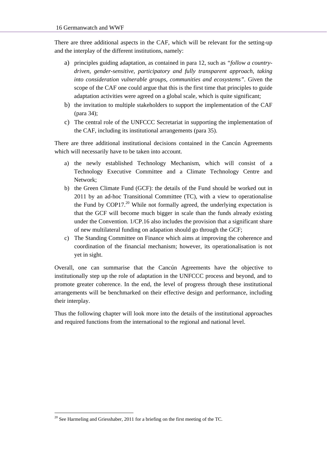There are three additional aspects in the CAF, which will be relevant for the setting-up and the interplay of the different institutions, namely:

- a) principles guiding adaptation, as contained in para 12, such as *"follow a countrydriven, gender-sensitive, participatory and fully transparent approach, taking into consideration vulnerable groups, communities and ecosystems".* Given the scope of the CAF one could argue that this is the first time that principles to guide adaptation activities were agreed on a global scale, which is quite significant;
- b) the invitation to multiple stakeholders to support the implementation of the CAF (para 34);
- c) The central role of the UNFCCC Secretariat in supporting the implementation of the CAF, including its institutional arrangements (para 35).

There are three additional institutional decisions contained in the Cancún Agreements which will necessarily have to be taken into account.

- a) the newly established Technology Mechanism, which will consist of a Technology Executive Committee and a Climate Technology Centre and Network;
- b) the Green Climate Fund (GCF): the details of the Fund should be worked out in 2011 by an ad-hoc Transitional Committee (TC), with a view to operationalise the Fund by COP17.<sup>20</sup> While not formally agreed, the underlying expectation is that the GCF will become much bigger in scale than the funds already existing under the Convention. 1/CP.16 also includes the provision that a significant share of new multilateral funding on adapation should go through the GCF;
- c) The Standing Committee on Finance which aims at improving the coherence and coordination of the financial mechanism; however, its operationalisation is not yet in sight.

Overall, one can summarise that the Cancún Agreements have the objective to institutionally step up the role of adaptation in the UNFCCC process and beyond, and to promote greater coherence. In the end, the level of progress through these institutional arrangements will be benchmarked on their effective design and performance, including their interplay.

Thus the following chapter will look more into the details of the institutional approaches and required functions from the international to the regional and national level.

 $20$  See Harmeling and Griesshaber, 2011 for a briefing on the first meeting of the TC.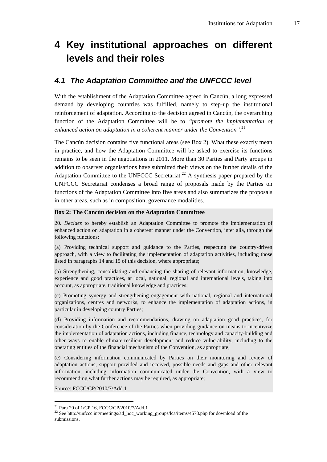## **4 Key institutional approaches on different levels and their roles**

### *4.1 The Adaptation Committee and the UNFCCC level*

With the establishment of the Adaptation Committee agreed in Cancún, a long expressed demand by developing countries was fulfilled, namely to step-up the institutional reinforcement of adaptation. According to the decision agreed in Cancún, the overarching function of the Adaptation Committee will be to *"promote the implementation of enhanced action on adaptation in a coherent manner under the Convention"*. 21

The Cancún decision contains five functional areas (see Box 2). What these exactly mean in practice, and how the Adaptation Committee will be asked to exercise its functions remains to be seen in the negotiations in 2011. More than 30 Parties and Party groups in addition to observer organisations have submitted their views on the further details of the Adaptation Committee to the UNFCCC Secretariat.<sup>22</sup> A synthesis paper prepared by the UNFCCC Secretariat condenses a broad range of proposals made by the Parties on functions of the Adaptation Committee into five areas and also summarizes the proposals in other areas, such as in composition, governance modalities.

#### **Box 2: The Cancún decision on the Adaptation Committee**

20. *Decides* to hereby establish an Adaptation Committee to promote the implementation of enhanced action on adaptation in a coherent manner under the Convention, inter alia, through the following functions:

(a) Providing technical support and guidance to the Parties, respecting the country-driven approach, with a view to facilitating the implementation of adaptation activities, including those listed in paragraphs 14 and 15 of this decision, where appropriate;

(b) Strengthening, consolidating and enhancing the sharing of relevant information, knowledge, experience and good practices, at local, national, regional and international levels, taking into account, as appropriate, traditional knowledge and practices;

(c) Promoting synergy and strengthening engagement with national, regional and international organizations, centres and networks, to enhance the implementation of adaptation actions, in particular in developing country Parties;

(d) Providing information and recommendations, drawing on adaptation good practices, for consideration by the Conference of the Parties when providing guidance on means to incentivize the implementation of adaptation actions, including finance, technology and capacity-building and other ways to enable climate-resilient development and reduce vulnerability, including to the operating entities of the financial mechanism of the Convention, as appropriate;

(e) Considering information communicated by Parties on their monitoring and review of adaptation actions, support provided and received, possible needs and gaps and other relevant information, including information communicated under the Convention, with a view to recommending what further actions may be required, as appropriate;

Source: FCCC/CP/2010/7/Add.1

<sup>21</sup> Para 20 of 1/CP.16, FCCC/CP/2010/7/Add.1

<sup>&</sup>lt;sup>22</sup> See http://unfccc.int/meetings/ad\_hoc\_working\_groups/lca/items/4578.php for download of the submissions.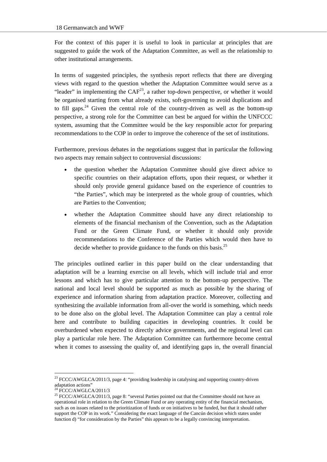For the context of this paper it is useful to look in particular at principles that are suggested to guide the work of the Adaptation Committee, as well as the relationship to other institutional arrangements.

In terms of suggested principles, the synthesis report reflects that there are diverging views with regard to the question whether the Adaptation Committee would serve as a "leader" in implementing the  $CAF<sup>23</sup>$ , a rather top-down perspective, or whether it would be organised starting from what already exists, soft-governing to avoid duplications and to fill gaps.<sup>24</sup> Given the central role of the country-driven as well as the bottom-up perspective, a strong role for the Committee can best be argued for within the UNFCCC system, assuming that the Committee would be the key responsible actor for preparing recommendations to the COP in order to improve the coherence of the set of institutions.

Furthermore, previous debates in the negotiations suggest that in particular the following two aspects may remain subject to controversial discussions:

- the question whether the Adaptation Committee should give direct advice to specific countries on their adaptation efforts, upon their request, or whether it should only provide general guidance based on the experience of countries to "the Parties", which may be interpreted as the whole group of countries, which are Parties to the Convention;
- whether the Adaptation Committee should have any direct relationship to elements of the financial mechanism of the Convention, such as the Adaptation Fund or the Green Climate Fund, or whether it should only provide recommendations to the Conference of the Parties which would then have to decide whether to provide guidance to the funds on this basis.<sup>25</sup>

The principles outlined earlier in this paper build on the clear understanding that adaptation will be a learning exercise on all levels, which will include trial and error lessons and which has to give particular attention to the bottom-up perspective. The national and local level should be supported as much as possible by the sharing of experience and information sharing from adaptation practice. Moreover, collecting and synthesizing the available information from all-over the world is something, which needs to be done also on the global level. The Adaptation Committee can play a central role here and contribute to building capacities in developing countries. It could be overburdened when expected to directly advice governments, and the regional level can play a particular role here. The Adaptation Committee can furthermore become central when it comes to assessing the quality of, and identifying gaps in, the overall financial

<sup>&</sup>lt;sup>23</sup> FCCC/AWGLCA/2011/3, page 4: "providing leadership in catalysing and supporting country-driven adaptation actions"

 $24$  FCCC/AWGLCA/2011/3

<sup>&</sup>lt;sup>25</sup> FCCC/AWGLCA/2011/3, page 8: "several Parties pointed out that the Committee should not have an operational role in relation to the Green Climate Fund or any operating entity of the financial mechanism, such as on issues related to the prioritization of funds or on initiatives to be funded, but that it should rather support the COP in its work." Considering the exact language of the Cancún decision which states under function d) "for consideration by the Parties" this appears to be a legally convincing interpretation.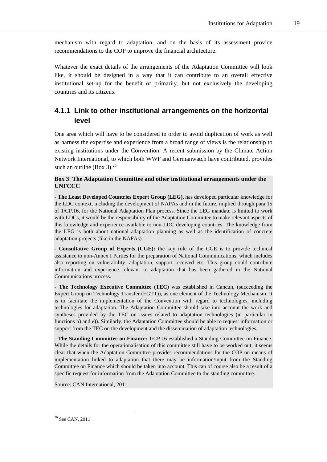mechanism with regard to adaptation, and on the basis of its assessment provide recommendations to the COP to improve the financial architecture.

Whatever the exact details of the arrangements of the Adaptation Committee will look like, it should be designed in a way that it can contribute to an overall effective institutional set-up for the benefit of primarily, but not exclusively the developing countries and its citizens.

### **4.1.1 Link to other institutional arrangements on the horizontal level**

One area which will have to be considered in order to avoid duplication of work as well as harness the expertise and experience from a broad range of views is the relationship to existing institutions under the Convention. A recent submission by the Climate Action Network International, to which both WWF and Germanwatch have contributed, provides such an outline (Box 3). $^{26}$ 

### **Box 3**: **The Adaptation Committee and other institutional arrangements under the UNFCCC**

*-* **The Least Developed Countries Expert Group (LEG),** has developed particular knowledge for the LDC context, including the development of NAPAs and in the future, implied through para 15 of 1/CP.16, for the National Adaptation Plan process. Since the LEG mandate is limited to work with LDCs, it would be the responsibility of the Adaptation Committee to make relevant aspects of this knowledge and experience available to non-LDC developing countries. The knowledge from the LEG is both about national adaptation planning as well as the identification of concrete adaptation projects (like in the NAPAs).

**- Consultative Group of Experts (CGE):** the key role of the CGE is to provide technical assistance to non-Annex I Parties for the preparation of National Communications, which includes also reporting on vulnerability, adaptation, support received etc. This group could contribute information and experience relevant to adaptation that has been gathered in the National Communications process.

- **The Technology Executive Committee (TEC)** was established in Cancun, (succeeding the Expert Group on Technology Transfer (EGTT)), as one element of the Technology Mechanism. It is to facilitate the implementation of the Convention with regard to technologies, including technologies for adaptation. The Adaptation Committee should take into account the work and syntheses provided by the TEC on issues related to adaptation technologies (in particular in functions b) and e)). Similarly, the Adaptation Committee should be able to request information or support from the TEC on the development and the dissemination of adaptation technologies.

- **The Standing Committee on Finance:** 1/CP.16 established a Standing Committee on Finance. While the details for the operationalisation of this committee still have to be worked out, it seems clear that when the Adaptation Committee provides recommendations for the COP on means of implementation linked to adaptation that there may be information/input from the Standing Committee on Finance which should be taken into account. This can of course also be a result of a specific request for information from the Adaptation Committee to the standing committee.

Source: CAN International, 2011

<sup>26</sup> See CAN, 2011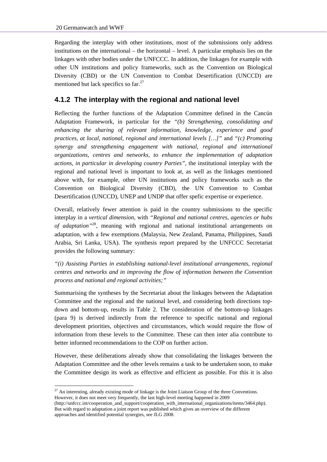Regarding the interplay with other institutions, most of the submissions only address institutions on the international – the horizontal – level. A particular emphasis lies on the linkages with other bodies under the UNFCCC. In addition, the linkages for example with other UN institutions and policy frameworks, such as the Convention on Biological Diversity (CBD) or the UN Convention to Combat Desertification (UNCCD) are mentioned but lack specifics so  $far.^{27}$ 

### **4.1.2 The interplay with the regional and national level**

Reflecting the further functions of the Adaptation Committee defined in the Cancún Adaptation Framework, in particular for the *"(b) Strengthening, consolidating and enhancing the sharing of relevant information, knowledge, experience and good practices, at local, national, regional and international levels […]"* and *"(c) Promoting synergy and strengthening engagement with national, regional and international organizations, centres and networks, to enhance the implementation of adaptation actions, in particular in developing country Parties"*, the institutional interplay with the regional and national level is important to look at, as well as the linkages mentioned above with, for example, other UN institutions and policy frameworks such as the Convention on Biological Diversity (CBD), the UN Convention to Combat Desertification (UNCCD), UNEP and UNDP that offer spefic expertise or experience.

Overall, relatively fewer attention is paid in the country submissions to the specific interplay in a *vertical dimension*, with *"Regional and national centres, agencies or hubs of adaptation"*28, meaning with regional and national institutional arrangements on adaptation, with a few exemptions (Malaysia, New Zealand, Panama, Philippines, Saudi Arabia, Sri Lanka, USA). The synthesis report prepared by the UNFCCC Secretariat provides the following summary:

*"(i) Assisting Parties in establishing national-level institutional arrangements, regional centres and networks and in improving the flow of information between the Convention process and national and regional activities;"* 

Summarising the syntheses by the Secretariat about the linkages between the Adaptation Committee and the regional and the national level, and considering both directions topdown and bottom-up, results in Table 2. The consideration of the bottom-up linkages (para 9) is derived indirectly from the reference to specific national and regional development priorities, objectives and circumstances, which would require the flow of information from these levels to the Committee. These can then inter alia contribute to better informed recommendations to the COP on further action.

However, these deliberations already show that consolidating the linkages between the Adaptation Committee and the other levels remains a task to be undertaken soon, to make the Committee design its work as effective and efficient as possible. For this it is also

 $27$  An interesting, already existing mode of linkage is the Joint Liaison Group of the three Conventions. However, it does not meet very frequently, the last high-level meeting happened in 2009

<sup>(</sup>http://unfccc.int/cooperation\_and\_support/cooperation\_with\_international\_organizations/items/3464.php). But with regard to adaptation a joint report was published which gives an overview of the different approaches and identified potential synergies, see JLG 2008.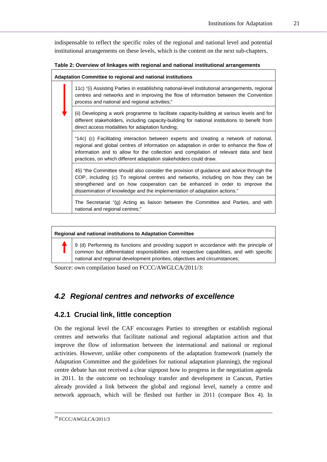indispensable to reflect the specific roles of the regional and national level and potential institutional arrangements on these levels, which is the content on the next sub-chapters.

#### **Table 2: Overview of linkages with regional and national institutional arrangements**

| Adaptation Committee to regional and national institutions |                                                                                                                                                                                                                                                                                                                                                  |  |
|------------------------------------------------------------|--------------------------------------------------------------------------------------------------------------------------------------------------------------------------------------------------------------------------------------------------------------------------------------------------------------------------------------------------|--|
|                                                            | 11c) "(i) Assisting Parties in establishing national-level institutional arrangements, regional<br>centres and networks and in improving the flow of information between the Convention<br>process and national and regional activities;"                                                                                                        |  |
|                                                            | (ii) Developing a work programme to facilitate capacity-building at various levels and for<br>different stakeholders, including capacity-building for national institutions to benefit from<br>direct access modalities for adaptation funding;                                                                                                  |  |
|                                                            | "14c) (c) Facilitating interaction between experts and creating a network of national,<br>regional and global centres of information on adaptation in order to enhance the flow of<br>information and to allow for the collection and compilation of relevant data and best<br>practices, on which different adaptation stakeholders could draw. |  |
|                                                            | 45) "the Committee should also consider the provision of guidance and advice through the<br>COP, including (c) To regional centres and networks, including on how they can be<br>strengthened and on how cooperation can be enhanced in order to improve the<br>dissemination of knowledge and the implementation of adaptation actions."        |  |
|                                                            | The Secretariat "(g) Acting as liaison between the Committee and Parties, and with<br>national and regional centres;"                                                                                                                                                                                                                            |  |

#### **Regional and national institutions to Adaptation Committee**

9 (d) Performing its functions and providing support in accordance with the principle of common but differentiated responsibilities and respective capabilities, and with specific national and regional development priorities, objectives and circumstances;

Source: own compilation based on FCCC/AWGLCA/2011/3:

### *4.2 Regional centres and networks of excellence*

### **4.2.1 Crucial link, little conception**

On the regional level the CAF encourages Parties to strengthen or establish regional centres and networks that facilitate national and regional adaptation action and that improve the flow of information between the international and national or regional activities. However, unlike other components of the adaptation framework (namely the Adaptation Committee and the guidelines for national adaptation planning), the regional centre debate has not received a clear signpost how to progress in the negotiation agenda in 2011. In the outcome on technology transfer and development in Cancun, Parties already provided a link between the global and regional level, namely a centre and network approach, which will be fleshed out further in 2011 (compare Box 4). In

 <sup>28</sup> FCCC/AWGLCA/2011/3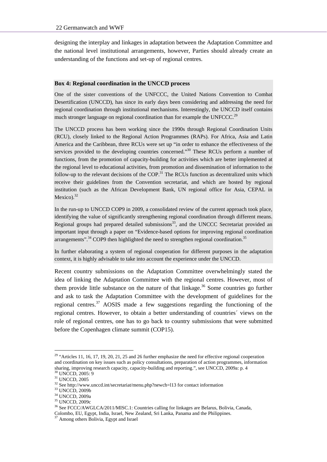designing the interplay and linkages in adaptation between the Adaptation Committee and the national level institutional arrangements, however, Parties should already create an understanding of the functions and set-up of regional centres.

#### **Box 4: Regional coordination in the UNCCD process**

One of the sister conventions of the UNFCCC, the United Nations Convention to Combat Desertification (UNCCD), has since its early days been considering and addressing the need for regional coordination through institutional mechanisms. Interestingly, the UNCCD itself contains much stronger language on regional coordination than for example the UNFCCC.<sup>29</sup>

The UNCCD process has been working since the 1990s through Regional Coordination Units (RCU), closely linked to the Regional Action Programmes (RAPs). For Africa, Asia and Latin America and the Caribbean, three RCUs were set up "in order to enhance the effectiveness of the services provided to the developing countries concerned."<sup>30</sup> These RCUs perform a number of functions, from the promotion of capacity-building for activities which are better implemented at the regional level to educational activities, from promotion and dissemination of information to the follow-up to the relevant decisions of the COP.<sup>31</sup> The RCUs function as decentralized units which receive their guidelines from the Convention secretariat, and which are hosted by regional institution (such as the African Development Bank, UN regional office for Asia, CEPAL in Mexico). $32$ 

In the run-up to UNCCD COP9 in 2009, a consolidated review of the current approach took place, identifying the value of significantly strengthening regional coordination through different means. Regional groups had prepared detailed submissions $33$ , and the UNCCC Secretariat provided an important input through a paper on "Evidence-based options for improving regional coordination arrangements".<sup>34</sup> COP9 then highlighted the need to strengthen regional coordination.<sup>35</sup>

In further elaborating a system of regional cooperation for different purposes in the adaptation context, it is highly advisable to take into account the experience under the UNCCD.

Recent country submissions on the Adaptation Committee overwhelmingly stated the idea of linking the Adaptation Committee with the regional centres. However, most of them provide little substance on the nature of that linkage.<sup>36</sup> Some countries go further and ask to task the Adaptation Committee with the development of guidelines for the regional centres.<sup>37</sup> AOSIS made a few suggestions regarding the functioning of the regional centres. However, to obtain a better understanding of countries´ views on the role of regional centres, one has to go back to country submissions that were submitted before the Copenhagen climate summit (COP15).

<sup>&</sup>lt;sup>29</sup> "Articles 11, 16, 17, 19, 20, 21, 25 and 26 further emphasize the need for effective regional cooperation and coordination on key issues such as policy consultations, preparation of action programmes, information sharing, improving research capacity, capacity-building and reporting.", see UNCCD, 2009a: p. 4 <sup>30</sup> UNCCD. 2005: 9

<sup>31</sup> UNCCD, 2005

 $^{32}$  See http://www.unccd.int/secretariat/menu.php?newch=l13 for contact information  $^{33}$  UNCCD, 2009b

<sup>34</sup> UNCCD, 2009a

<sup>35</sup> UNCCD, 2009c

<sup>36</sup> See FCCC/AWGLCA/2011/MISC.1: Countries calling for linkages are Belarus, Bolivia, Canada, Colombo, EU, Egypt, India, Israel, New Zealand, Sri Lanka, Panama and the Philippines. 37 Among others Bolivia, Egypt and Israel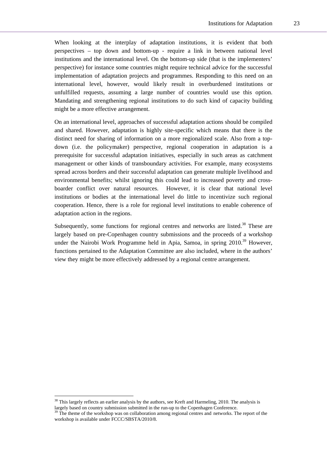When looking at the interplay of adaptation institutions, it is evident that both perspectives – top down and bottom-up - require a link in between national level institutions and the international level. On the bottom-up side (that is the implementers' perspective) for instance some countries might require technical advice for the successful implementation of adaptation projects and programmes. Responding to this need on an international level, however, would likely result in overburdened institutions or unfulfilled requests, assuming a large number of countries would use this option. Mandating and strengthening regional institutions to do such kind of capacity building might be a more effective arrangement.

On an international level, approaches of successful adaptation actions should be compiled and shared. However, adaptation is highly site-specific which means that there is the distinct need for sharing of information on a more regionalized scale. Also from a topdown (i.e. the policymaker) perspective, regional cooperation in adaptation is a prerequisite for successful adaptation initiatives, especially in such areas as catchment management or other kinds of transboundary activities. For example, many ecosystems spread across borders and their successful adaptation can generate multiple livelihood and environmental benefits; whilst ignoring this could lead to increased poverty and crossboarder conflict over natural resources. However, it is clear that national level institutions or bodies at the international level do little to incentivize such regional cooperation. Hence, there is a role for regional level institutions to enable coherence of adaptation action in the regions.

Subsequently, some functions for regional centres and networks are listed.<sup>38</sup> These are largely based on pre-Copenhagen country submissions and the proceeds of a workshop under the Nairobi Work Programme held in Apia, Samoa, in spring 2010.<sup>39</sup> However, functions pertained to the Adaptation Committee are also included, where in the authors' view they might be more effectively addressed by a regional centre arrangement.

 $38$  This largely reflects an earlier analysis by the authors, see Kreft and Harmeling, 2010. The analysis is largely based on country submission submitted in the run-up to the Copenhagen Conference.

 $39$  The theme of the workshop was on collaboration among regional centres and networks. The report of the workshop is available under FCCC/SBSTA/2010/8.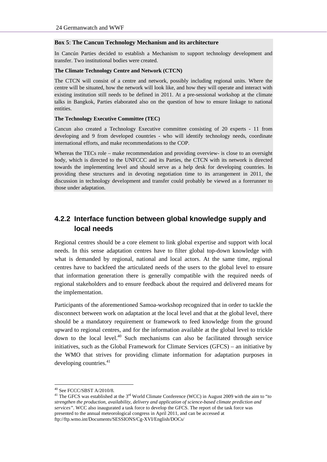#### **Box 5**: **The Cancun Technology Mechanism and its architecture**

In Cancún Parties decided to establish a Mechanism to support technology development and transfer. Two institutional bodies were created.

#### **The Climate Technology Centre and Network (CTCN)**

The CTCN will consist of a centre and network, possibly including regional units. Where the centre will be situated, how the network will look like, and how they will operate and interact with existing institution still needs to be defined in 2011. At a pre-sessional workshop at the climate talks in Bangkok, Parties elaborated also on the question of how to ensure linkage to national entities.

#### **The Technology Executive Committee (TEC)**

Cancun also created a Technology Executive committee consisting of 20 experts - 11 from developing and 9 from developed countries - who will identify technology needs, coordinate international efforts, and make recommendations to the COP.

Whereas the TECs role – make recommendation and providing overview- is close to an oversight body, which is directed to the UNFCCC and its Parties, the CTCN with its network is directed towards the implementing level and should serve as a help desk for developing countries. In providing these structures and in devoting negotiation time to its arrangement in 2011, the discussion in technology development and transfer could probably be viewed as a forerunner to those under adaptation.

### **4.2.2 Interface function between global knowledge supply and local needs**

Regional centres should be a core element to link global expertise and support with local needs. In this sense adaptation centres have to filter global top-down knowledge with what is demanded by regional, national and local actors. At the same time, regional centres have to backfeed the articulated needs of the users to the global level to ensure that information generation there is generally compatible with the required needs of regional stakeholders and to ensure feedback about the required and delivered means for the implementation.

Participants of the aforementioned Samoa-workshop recognized that in order to tackle the disconnect between work on adaptation at the local level and that at the global level, there should be a mandatory requirement or framework to feed knowledge from the ground upward to regional centres, and for the information available at the global level to trickle down to the local level. $40$  Such mechanisms can also be facilitated through service initiatives, such as the Global Framework for Climate Services (GFCS) – an initiative by the WMO that strives for providing climate information for adaptation purposes in developing countries. $41$ 

<sup>40</sup> See FCCC/SBST A/2010/8.

<sup>&</sup>lt;sup>41</sup> The GFCS was established at the 3<sup>rd</sup> World Climate Conference (WCC) in August 2009 with the aim to "*to*" *strengthen the production, availability, delivery and application of science-based climate prediction and services"*. WCC also inaugurated a task force to develop the GFCS. The report of the task force was presented to the annual meteorological congress in April 2011, and can be accessed at ftp://ftp.wmo.int/Documents/SESSIONS/Cg-XVI/English/DOCs/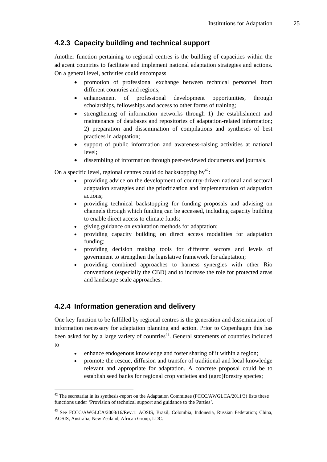### **4.2.3 Capacity building and technical support**

Another function pertaining to regional centres is the building of capacities within the adjacent countries to facilitate and implement national adaptation strategies and actions. On a general level, activities could encompass

- promotion of professional exchange between technical personnel from different countries and regions;
- enhancement of professional development opportunities, through scholarships, fellowships and access to other forms of training;
- strengthening of information networks through 1) the establishment and maintenance of databases and repositories of adaptation-related information; 2) preparation and dissemination of compilations and syntheses of best practices in adaptation;
- support of public information and awareness-raising activities at national level;
- dissembling of information through peer-reviewed documents and journals.

On a specific level, regional centres could do backstopping  $by^{42}$ :

- providing advice on the development of country-driven national and sectoral adaptation strategies and the prioritization and implementation of adaptation actions;
- providing technical backstopping for funding proposals and advising on channels through which funding can be accessed, including capacity building to enable direct access to climate funds;
- giving guidance on evalutation methods for adaptation;
- providing capacity building on direct access modalities for adaptation funding;
- providing decision making tools for different sectors and levels of government to strengthen the legislative framework for adaptation;
- providing combined approaches to harness synergies with other Rio conventions (especially the CBD) and to increase the role for protected areas and landscape scale approaches.

### **4.2.4 Information generation and delivery**

l

One key function to be fulfilled by regional centres is the generation and dissemination of information necessary for adaptation planning and action. Prior to Copenhagen this has been asked for by a large variety of countries<sup>43</sup>. General statements of countries included to

- enhance endogenous knowledge and foster sharing of it within a region;
- promote the rescue, diffusion and transfer of traditional and local knowledge relevant and appropriate for adaptation. A concrete proposal could be to establish seed banks for regional crop varieties and (agro)forestry species;

 $42$  The secretariat in its synthesis-report on the Adaptation Committee (FCCC/AWGLCA/2011/3) lists these functions under 'Provision of technical support and guidance to the Parties'.

<sup>43</sup> See FCCC/AWGLCA/2008/16/Rev.1: AOSIS, Brazil, Colombia, Indonesia, Russian Federation; China, AOSIS, Australia, New Zealand, African Group, LDC.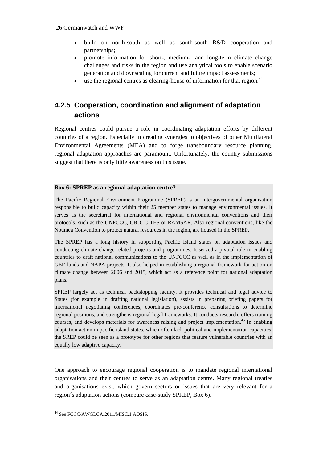- build on north-south as well as south-south R&D cooperation and partnerships;
- promote information for short-, medium-, and long-term climate change challenges and risks in the region and use analytical tools to enable scenario generation and downscaling for current and future impact assessments;
- use the regional centres as clearing-house of information for that region.<sup>44</sup>

### **4.2.5 Cooperation, coordination and alignment of adaptation actions**

Regional centres could pursue a role in coordinating adaptation efforts by different countries of a region. Especially in creating synergies to objectives of other Multilateral Environmental Agreements (MEA) and to forge transboundary resource planning, regional adaptation approaches are paramount. Unfortunately, the country submissions suggest that there is only little awareness on this issue.

### **Box 6: SPREP as a regional adaptation centre?**

The Pacific Regional Environment Programme (SPREP) is an intergovernmental organisation responsible to build capacity within their 25 member states to manage environmental issues. It serves as the secretariat for international and regional environmental conventions and their protocols, such as the UNFCCC, CBD, CITES or RAMSAR. Also regional conventions, like the Noumea Convention to protect natural resources in the region, are housed in the SPREP.

The SPREP has a long history in supporting Pacific Island states on adaptation issues and conducting climate change related projects and programmes. It served a pivotal role in enabling countries to draft national communications to the UNFCCC as well as in the implementation of GEF funds and NAPA projects. It also helped in establishing a regional framework for action on climate change between 2006 and 2015, which act as a reference point for national adaptation plans.

SPREP largely act as technical backstopping facility. It provides technical and legal advice to States (for example in drafting national legislation), assists in preparing briefing papers for international negotiating conferences, coordinates pre-conference consultations to determine regional positions, and strengthens regional legal frameworks. It conducts research, offers training courses, and develops materials for awareness raising and project implementation.<sup>45</sup> In enabling adaptation action in pacific island states, which often lack political and implementation capacities, the SREP could be seen as a prototype for other regions that feature vulnerable countries with an equally low adaptive capacity.

One approach to encourage regional cooperation is to mandate regional international organisations and their centres to serve as an adaptation centre. Many regional treaties and organisations exist, which govern sectors or issues that are very relevant for a region´s adaptation actions (compare case-study SPREP, Box 6).

<sup>44</sup> See FCCC/AWGLCA/2011/MISC.1 AOSIS.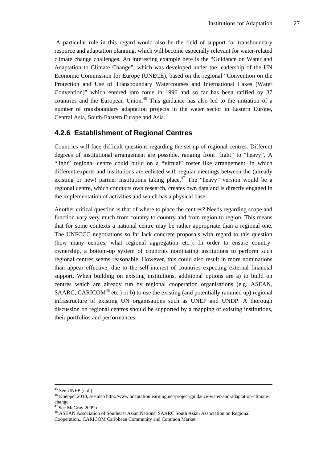A particular role in this regard would also be the field of support for transboundary resource and adaptation planning, which will become especially relevant for water-related climate change challenges. An interesting example here is the "Guidance on Water and Adaptation to Climate Change", which was developed under the leadership of the UN Economic Commission for Europe (UNECE), based on the regional "Convention on the Protection and Use of Transboundary Watercourses and International Lakes (Water Convention)" which entered into force in 1996 and so far has been ratified by 37 countries and the European Union.<sup>46</sup> This guidance has also led to the initiation of a number of transboundary adaptation projects in the water sector in Eastern Europe, Central Asia, South-Eastern Europe and Asia.

### **4.2.6 Establishment of Regional Centres**

Countries will face difficult questions regarding the set-up of regional centres. Different degrees of institutional arrangement are possible, ranging from "light" to "heavy". A "light" regional centre could build on a "virtual" roster like arrangement, in which different experts and institutions are enlisted with regular meetings between the (already existing or new) partner institutions taking place.<sup>47</sup> The "heavy" version would be a regional centre, which conducts own research, creates own data and is directly engaged in the implementation of activities and which has a physical base.

Another critical question is that of where to place the centres? Needs regarding scope and function vary very much from country to country and from region to region. This means that for some contexts a national centre may be rather appropriate than a regional one. The UNFCCC negotiations so far lack concrete proposals with regard to this question (how many centres, what regional aggregation etc.). In order to ensure countryownership, a bottom-up system of countries nominating institutions to perform such regional centres seems reasonable. However, this could also result in more nominations than appear effective, due to the self-interest of countries expecting external financial support. When building on existing institutions, additional options are a) to build on centres which are already run by regional cooperation organisations (e.g. ASEAN, SAARC, CARICOM $48$  etc.) or b) to use the existing (and potentially rammed up) regional infrastructure of existing UN organisations such as UNEP and UNDP. A thorough discussion on regional centres should be supported by a mapping of existing institutions, their portfolios and performances.

 <sup>45</sup> See UNEP (n.d.)

<sup>46</sup> Koeppel 2010, see also http://www.adaptationlearning.net/project/guidance-water-and-adaptation-climatechange<br><sup>47</sup> See McGray 2009b

<sup>&</sup>lt;sup>48</sup> ASEAN Association of Southeast Asian Nations; SAARC South Asian Association on Regional

Cooperation,, CARICOM Caribbean Community and Common Market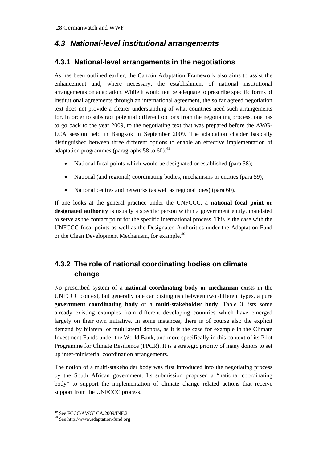### *4.3 National-level institutional arrangements*

### **4.3.1 National-level arrangements in the negotiations**

As has been outlined earlier, the Cancún Adaptation Framework also aims to assist the enhancement and, where necessary, the establishment of national institutional arrangements on adaptation. While it would not be adequate to prescribe specific forms of institutional agreements through an international agreement, the so far agreed negotiation text does not provide a clearer understanding of what countries need such arrangements for. In order to substract potential different options from the negotiating process, one has to go back to the year 2009, to the negotiating text that was prepared before the AWG-LCA session held in Bangkok in September 2009. The adaptation chapter basically distinguished between three different options to enable an effective implementation of adaptation programmes (paragraphs 58 to 60): $^{49}$ 

- National focal points which would be designated or established (para 58);
- National (and regional) coordinating bodies, mechanisms or entities (para 59);
- National centres and networks (as well as regional ones) (para 60).

If one looks at the general practice under the UNFCCC, a **national focal point or designated authority** is usually a specific person within a government entity, mandated to serve as the contact point for the specific international process. This is the case with the UNFCCC focal points as well as the Designated Authorities under the Adaptation Fund or the Clean Development Mechanism, for example.<sup>50</sup>

### **4.3.2 The role of national coordinating bodies on climate change**

No prescribed system of a **national coordinating body or mechanism** exists in the UNFCCC context, but generally one can distinguish between two different types, a pure **government coordinating body** or a **multi-stakeholder body**. Table 3 lists some already existing examples from different developing countries which have emerged largely on their own initiative. In some instances, there is of course also the explicit demand by bilateral or multilateral donors, as it is the case for example in the Climate Investment Funds under the World Bank, and more specifically in this context of its Pilot Programme for Climate Resilience (PPCR). It is a strategic priority of many donors to set up inter-ministerial coordination arrangements.

The notion of a multi-stakeholder body was first introduced into the negotiating process by the South African government. Its submission proposed a "national coordinating body" to support the implementation of climate change related actions that receive support from the UNFCCC process.

<sup>49</sup> See FCCC/AWGLCA/2009/INF.2

 $50$  See http://www.adaptation-fund.org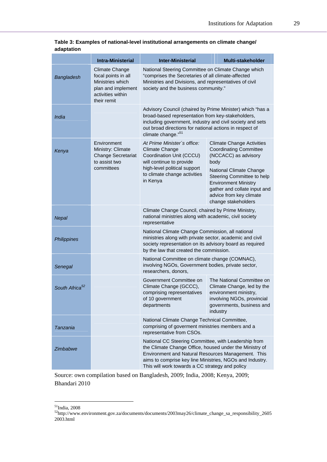|                            | <b>Intra-Ministerial</b>                                                                                                   | <b>Inter-Ministerial</b>                                                                                                                                                                                                                                                             | <b>Multi-stakeholder</b>                                                                                                                                                                                                                                                    |  |
|----------------------------|----------------------------------------------------------------------------------------------------------------------------|--------------------------------------------------------------------------------------------------------------------------------------------------------------------------------------------------------------------------------------------------------------------------------------|-----------------------------------------------------------------------------------------------------------------------------------------------------------------------------------------------------------------------------------------------------------------------------|--|
| Bangladesh                 | <b>Climate Change</b><br>focal points in all<br>Ministries which<br>plan and implement<br>activities within<br>their remit | National Steering Committee on Climate Change which<br>"comprises the Secretaries of all climate-affected<br>Ministries and Divisions, and representatives of civil<br>society and the business community."                                                                          |                                                                                                                                                                                                                                                                             |  |
| India                      |                                                                                                                            | Advisory Council (chaired by Prime Minister) which "has a<br>broad-based representation from key-stakeholders,<br>including government, industry and civil society and sets<br>out broad directions for national actions in respect of<br>climate change." <sup>51</sup>             |                                                                                                                                                                                                                                                                             |  |
| Kenya                      | Environment<br>Ministry: Climate<br><b>Change Secretariat</b><br>to assist two<br>committees                               | At Prime Minister's office:<br>Climate Change<br>Coordination Unit (CCCU)<br>will continue to provide<br>high-level political support<br>to climate change activities<br>in Kenya                                                                                                    | <b>Climate Change Activities</b><br><b>Coordinating Committee</b><br>(NCCACC) as advisory<br>body<br>National Climate Change<br>Steering Committee to help<br><b>Environment Ministry</b><br>gather and collate input and<br>advice from key climate<br>change stakeholders |  |
| Nepal                      |                                                                                                                            | Climate Change Council, chaired by Prime Ministry,<br>national ministries along with academic, civil society<br>representative                                                                                                                                                       |                                                                                                                                                                                                                                                                             |  |
| Philippines                |                                                                                                                            | National Climate Change Commission, all national<br>ministries along with private sector, academic and civil<br>society representation on its advisory board as required<br>by the law that created the commission.                                                                  |                                                                                                                                                                                                                                                                             |  |
| Senegal                    |                                                                                                                            | National Committee on climate change (COMNAC),<br>involving NGOs, Government bodies, private sector,<br>researchers, donors,                                                                                                                                                         |                                                                                                                                                                                                                                                                             |  |
| South Africa <sup>52</sup> |                                                                                                                            | Government Committee on<br>Climate Change (GCCC),<br>comprising representatives<br>of 10 government<br>departments                                                                                                                                                                   | The National Committee on<br>Climate Change, led by the<br>environment ministry,<br>involving NGOs, provincial<br>governments, business and<br>industry                                                                                                                     |  |
| Tanzania                   |                                                                                                                            | National Climate Change Technical Committee,<br>comprising of goverment ministries members and a<br>representative from CSOs.                                                                                                                                                        |                                                                                                                                                                                                                                                                             |  |
| Zimbabwe                   |                                                                                                                            | National CC Steering Committee, with Leadership from<br>the Climate Change Office, housed under the Ministry of<br>Environment and Natural Resources Management. This<br>aims to comprise key line Ministries, NGOs and Industry.<br>This will work towards a CC strategy and policy |                                                                                                                                                                                                                                                                             |  |

**Table 3: Examples of national-level institutional arrangements on climate change/ adaptation** 

Source: own compilation based on Bangladesh, 2009; India, 2008; Kenya, 2009; Bhandari 2010

51India, 2008

 $52$ http://www.environment.gov.za/documents/documents/2003may26/climate\_change\_sa\_responsibility\_2605 2003.html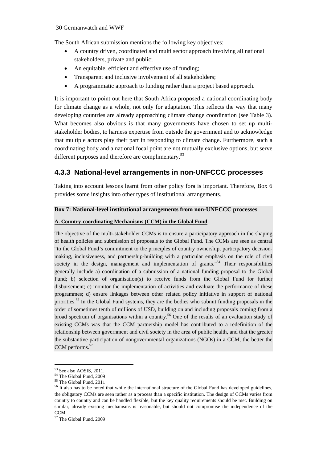The South African submission mentions the following key objectives:

- A country driven, coordinated and multi sector approach involving all national stakeholders, private and public;
- An equitable, efficient and effective use of funding;
- Transparent and inclusive involvement of all stakeholders;
- A programmatic approach to funding rather than a project based approach.

It is important to point out here that South Africa proposed a national coordinating body for climate change as a whole, not only for adaptation. This reflects the way that many developing countries are already approaching climate change coordination (see Table 3). What becomes also obvious is that many governments have chosen to set up multistakeholder bodies, to harness expertise from outside the government and to acknowledge that multiple actors play their part in responding to climate change. Furthermore, such a coordinating body and a national focal point are not mutually exclusive options, but serve different purposes and therefore are complimentary.<sup>53</sup>

### **4.3.3 National-level arrangements in non-UNFCCC processes**

Taking into account lessons learnt from other policy fora is important. Therefore, Box 6 provides some insights into other types of institutional arrangements.

#### **Box 7: National-level institutional arrangements from non-UNFCCC processes**

#### **A. Country-coordinating Mechanisms (CCM) in the Global Fund**

The objective of the multi-stakeholder CCMs is to ensure a participatory approach in the shaping of health policies and submission of proposals to the Global Fund. The CCMs are seen as central "to the Global Fund's commitment to the principles of country ownership, participatory decisionmaking, inclusiveness, and partnership-building with a particular emphasis on the role of civil society in the design, management and implementation of grants.<sup>"54</sup> Their responsibilities generally include a) coordination of a submission of a national funding proposal to the Global Fund; b) selection of organisation(s) to receive funds from the Global Fund for further disbursement; c) monitor the implementation of activities and evaluate the performance of these programmes; d) ensure linkages between other related policy initiative in support of national priorities.<sup>55</sup> In the Global Fund systems, they are the bodies who submit funding proposals in the order of sometimes tenth of millions of USD, building on and including proposals coming from a broad spectrum of organisations within a country.<sup>56</sup> One of the results of an evaluation study of existing CCMs was that the CCM partnership model has contributed to a redefinition of the relationship between government and civil society in the area of public health, and that the greater the substantive participation of nongovernmental organizations (NGOs) in a CCM, the better the CCM performs.<sup>57</sup>

l <sup>53</sup> See also AOSIS, 2011.

<sup>&</sup>lt;sup>54</sup> The Global Fund, 2009

<sup>55</sup> The Global Fund, 2011

<sup>&</sup>lt;sup>56</sup> It also has to be noted that while the international structure of the Global Fund has developed guidelines, the obligatory CCMs are seen rather as a process than a specific institution. The design of CCMs varies from country to country and can be handled flexible, but the key quality requirements should be met. Building on similar, already existing mechanisms is reasonable, but should not compromise the independence of the CCM.

<sup>57</sup> The Global Fund, 2009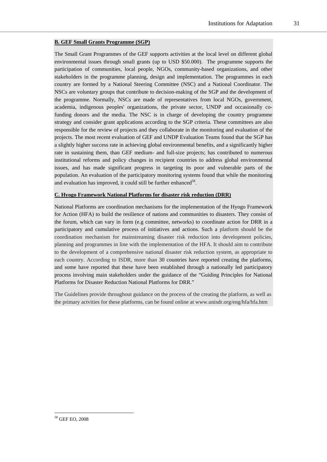#### **B. GEF Small Grants Programme (SGP)**

The Small Grant Programmes of the GEF supports activities at the local level on different global environmental issues through small grants (up to USD \$50.000). The programme supports the participation of communities, local people, NGOs, community-based organizations, and other stakeholders in the programme planning, design and implementation. The programmes in each country are formed by a National Steering Committee (NSC) and a National Coordinator. The NSCs are voluntary groups that contribute to decision-making of the SGP and the development of the programme. Normally, NSCs are made of representatives from local NGOs, government, academia, indigenous peoples' organizations, the private sector, UNDP and occasionally cofunding donors and the media. The NSC is in charge of developing the country programme strategy and consider grant applications according to the SGP criteria. These committees are also responsible for the review of projects and they collaborate in the monitoring and evaluation of the projects. The most recent evaluation of GEF and UNDP Evaluation Teams found that the SGP has a slightly higher success rate in achieving global environmental benefits, and a significantly higher rate in sustaining them, than GEF medium- and full-size projects; has contributed to numerous institutional reforms and policy changes in recipient countries to address global environmental issues, and has made significant progress in targeting its poor and vulnerable parts of the population. An evaluation of the participatory monitoring systems found that while the monitoring and evaluation has improved, it could still be further enhanced<sup>58</sup>.

#### **C. Hyogo Framework National Platforms for disaster risk reduction (DRR)**

National Platforms are coordination mechanisms for the implementation of the Hyogo Framework for Action (HFA) to build the resilience of nations and communities to disasters. They consist of the forum, which can vary in form (e.g committee, networks) to coordinate action for DRR in a participatory and cumulative process of initiatives and actions. Such a platform should be the coordination mechanism for mainstreaming disaster risk reduction into development policies, planning and programmes in line with the implementation of the HFA. It should aim to contribute to the development of a comprehensive national disaster risk reduction system, as appropriate to each country. According to ISDR, more than 30 countries have reported creating the platforms, and some have reported that these have been established through a nationally led participatory process involving main stakeholders under the guidance of the "Guiding Principles for National Platforms for Disaster Reduction National Platforms for DRR."

The Guidelines provide throughout guidance on the process of the creating the platform, as well as the primary actvities for these platforms, can be found online at www.unisdr.org/eng/hfa/hfa.htm

<sup>58</sup> GEF EO, 2008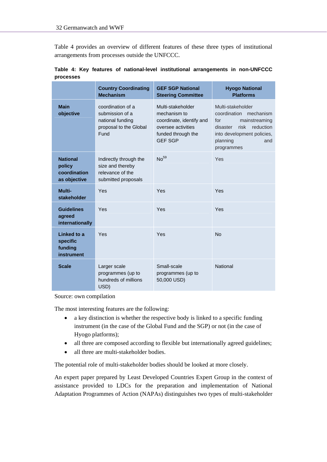Table 4 provides an overview of different features of these three types of institutional arrangements from processes outside the UNFCCC.

|                                                           | <b>Country Coordinating</b><br><b>Mechanism</b>                                            | <b>GEF SGP National</b><br><b>Steering Committee</b>                                                                        | <b>Hyogo National</b><br><b>Platforms</b>                                                                                                                           |
|-----------------------------------------------------------|--------------------------------------------------------------------------------------------|-----------------------------------------------------------------------------------------------------------------------------|---------------------------------------------------------------------------------------------------------------------------------------------------------------------|
| <b>Main</b><br>objective                                  | coordination of a<br>submission of a<br>national funding<br>proposal to the Global<br>Fund | Multi-stakeholder<br>mechanism to<br>coordinate, identify and<br>oversee activities<br>funded through the<br><b>GEF SGP</b> | Multi-stakeholder<br>coordination mechanism<br>mainstreaming<br>for<br>risk<br>reduction<br>disaster<br>into development policies,<br>planning<br>and<br>programmes |
| <b>National</b><br>policy<br>coordination<br>as objective | Indirectly through the<br>size and thereby<br>relevance of the<br>submitted proposals      | No <sup>59</sup>                                                                                                            | Yes                                                                                                                                                                 |
| Multi-<br>stakeholder                                     | Yes                                                                                        | Yes                                                                                                                         | Yes                                                                                                                                                                 |
| <b>Guidelines</b><br>agreed<br>internationally            | Yes                                                                                        | Yes                                                                                                                         | Yes                                                                                                                                                                 |
| Linked to a<br>specific<br>funding<br>instrument          | Yes                                                                                        | Yes                                                                                                                         | <b>No</b>                                                                                                                                                           |
| <b>Scale</b>                                              | Larger scale<br>programmes (up to<br>hundreds of millions<br>USD)                          | Small-scale<br>programmes (up to<br>50,000 USD)                                                                             | <b>National</b>                                                                                                                                                     |

**Table 4: Key features of national-level institutional arrangements in non-UNFCCC processes** 

Source: own compilation

The most interesting features are the following:

- a key distinction is whether the respective body is linked to a specific funding instrument (in the case of the Global Fund and the SGP) or not (in the case of Hyogo platforms);
- all three are composed according to flexible but internationally agreed guidelines;
- all three are multi-stakeholder bodies.

The potential role of multi-stakeholder bodies should be looked at more closely.

An expert paper prepared by Least Developed Countries Expert Group in the context of assistance provided to LDCs for the preparation and implementation of National Adaptation Programmes of Action (NAPAs) distinguishes two types of multi-stakeholder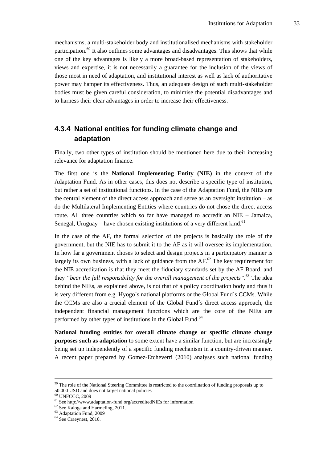mechanisms, a multi-stakeholder body and institutionalised mechanisms with stakeholder participation.<sup>60</sup> It also outlines some advantages and disadvantages. This shows that while one of the key advantages is likely a more broad-based representation of stakeholders, views and expertise, it is not necessarily a guarantee for the inclusion of the views of those most in need of adaptation, and institutional interest as well as lack of authoritative power may hamper its effectiveness. Thus, an adequate design of such multi-stakeholder bodies must be given careful consideration, to minimise the potential disadvantages and to harness their clear advantages in order to increase their effectiveness.

### **4.3.4 National entities for funding climate change and adaptation**

Finally, two other types of institution should be mentioned here due to their increasing relevance for adaptation finance.

The first one is the **National Implementing Entity (NIE)** in the context of the Adaptation Fund. As in other cases, this does not describe a specific type of institution, but rather a set of institutional functions. In the case of the Adaptation Fund, the NIEs are the central element of the direct access approach and serve as an oversight institution – as do the Multilateral Implementing Entities where countries do not chose the direct access route. All three countries which so far have managed to accredit an NIE – Jamaica, Senegal, Uruguay – have chosen existing institutions of a very different kind.<sup>61</sup>

In the case of the AF, the formal selection of the projects is basically the role of the government, but the NIE has to submit it to the AF as it will oversee its implementation. In how far a government choses to select and design projects in a participatory manner is largely its own business, with a lack of guidance from the  $AF<sup>62</sup>$ . The key requirement for the NIE accreditation is that they meet the fiduciary standards set by the AF Board, and they *"bear the full responsibility for the overall management of the projects"*. 63 The idea behind the NIEs, as explained above, is not that of a policy coordination body and thus it is very different from e.g. Hyogo´s national platforms or the Global Fund´s CCMs. While the CCMs are also a crucial element of the Global Fund´s direct access approach, the independent financial management functions which are the core of the NIEs are performed by other types of institutions in the Global Fund.<sup>64</sup>

**National funding entities for overall climate change or specific climate change purposes such as adaptation** to some extent have a similar function, but are increasingly being set up independently of a specific funding mechanism in a country-driven manner. A recent paper prepared by Gomez-Etcheverri (2010) analyses such national funding

<sup>&</sup>lt;sup>59</sup> The role of the National Steering Committee is restricted to the coordination of funding proposals up to 50.000 USD and does not target national policies

<sup>60</sup> UNFCCC, 2009

<sup>&</sup>lt;sup>61</sup> See http://www.adaptation-fund.org/accreditedNIEs for information  $^{62}$  See Kaloga and Harmeling, 2011.

<sup>63</sup> Adaptation Fund, 2009

 $64$  See Craeynest, 2010.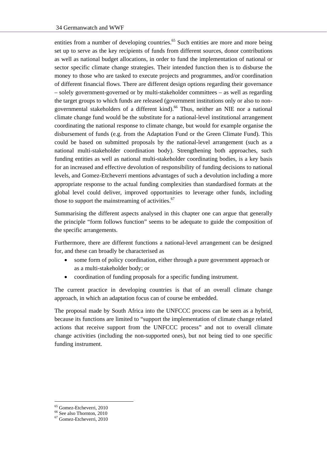entities from a number of developing countries.<sup>65</sup> Such entities are more and more being set up to serve as the key recipients of funds from different sources, donor contributions as well as national budget allocations, in order to fund the implementation of national or sector specific climate change strategies. Their intended function then is to disburse the money to those who are tasked to execute projects and programmes, and/or coordination of different financial flows. There are different design options regarding their governance – solely government-governed or by multi-stakeholder committees – as well as regarding the target groups to which funds are released (government institutions only or also to nongovernmental stakeholders of a different kind).<sup>66</sup> Thus, neither an NIE nor a national climate change fund would be the substitute for a national-level institutional arrangement coordinating the national response to climate change, but would for example organise the disbursement of funds (e.g. from the Adaptation Fund or the Green Climate Fund). This could be based on submitted proposals by the national-level arrangement (such as a national multi-stakeholder coordination body). Strengthening both approaches, such funding entities as well as national multi-stakeholder coordinating bodies, is a key basis for an increased and effective devolution of responsibility of funding decisions to national levels, and Gomez-Etcheverri mentions advantages of such a devolution including a more appropriate response to the actual funding complexities than standardised formats at the global level could deliver, improved opportunities to leverage other funds, including those to support the mainstreaming of activities. $67$ 

Summarising the different aspects analysed in this chapter one can argue that generally the principle "form follows function" seems to be adequate to guide the composition of the specific arrangements.

Furthermore, there are different functions a national-level arrangement can be designed for, and these can broadly be characterised as

- some form of policy coordination, either through a pure government approach or as a multi-stakeholder body; or
- coordination of funding proposals for a specific funding instrument.

The current practice in developing countries is that of an overall climate change approach, in which an adaptation focus can of course be embedded.

The proposal made by South Africa into the UNFCCC process can be seen as a hybrid, because its functions are limited to "support the implementation of climate change related actions that receive support from the UNFCCC process" and not to overall climate change activities (including the non-supported ones), but not being tied to one specific funding instrument.

<sup>65</sup> Gomez-Etcheverri, 2010

<sup>66</sup> See also Thornton, 2010

<sup>67</sup> Gomez-Etcheverri, 2010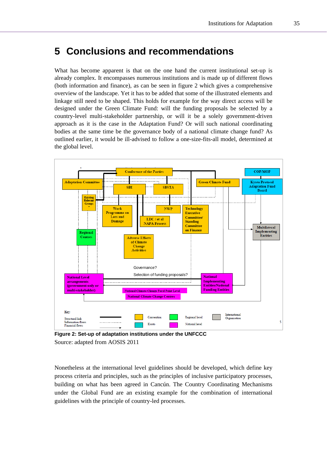### **5 Conclusions and recommendations**

What has become apparent is that on the one hand the current institutional set-up is already complex. It encompasses numerous institutions and is made up of different flows (both information and finance), as can be seen in figure 2 which gives a comprehensive overview of the landscape. Yet it has to be added that some of the illustrated elements and linkage still need to be shaped. This holds for example for the way direct access will be designed under the Green Climate Fund: will the funding proposals be selected by a country-level multi-stakeholder partnership, or will it be a solely government-driven approach as it is the case in the Adaptation Fund? Or will such national coordinating bodies at the same time be the governance body of a national climate change fund? As outlined earlier, it would be ill-advised to follow a one-size-fits-all model, determined at the global level.



**Figure 2: Set-up of adaptation institutions under the UNFCCC**  Source: adapted from AOSIS 2011

Nonetheless at the international level guidelines should be developed, which define key process criteria and principles, such as the principles of inclusive participatory processes, building on what has been agreed in Cancún. The Country Coordinating Mechanisms under the Global Fund are an existing example for the combination of international guidelines with the principle of country-led processes.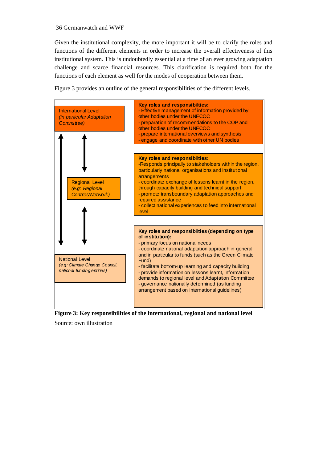Given the institutional complexity, the more important it will be to clarify the roles and functions of the different elements in order to increase the overall effectiveness of this institutional system. This is undoubtedly essential at a time of an ever growing adaptation challenge and scarce financial resources. This clarification is required both for the functions of each element as well for the modes of cooperation between them.

Figure 3 provides an outline of the general responsibilities of the different levels.



**Figure 3: Key responsibilities of the international, regional and national level** 

Source: own illustration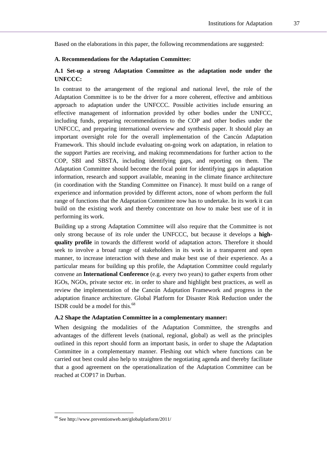Based on the elaborations in this paper, the following recommendations are suggested:

#### **A. Recommendations for the Adaptation Committee:**

### **A.1 Set-up a strong Adaptation Committee as the adaptation node under the UNFCCC:**

In contrast to the arrangement of the regional and national level, the role of the Adaptation Committee is to be the driver for a more coherent, effective and ambitious approach to adaptation under the UNFCCC. Possible activities include ensuring an effective management of information provided by other bodies under the UNFCC, including funds, preparing recommendations to the COP and other bodies under the UNFCCC, and preparing international overview and synthesis paper. It should play an important oversight role for the overall implementation of the Cancún Adaptation Framework. This should include evaluating on-going work on adaptation, in relation to the support Parties are receiving, and making recommendations for further action to the COP, SBI and SBSTA, including identifying gaps, and reporting on them. The Adaptation Committee should become the focal point for identifying gaps in adaptation information, research and support available, meaning in the climate finance architecture (in coordination with the Standing Committee on Finance). It must build on a range of experience and information provided by different actors, none of whom perform the full range of functions that the Adaptation Committee now has to undertake. In its work it can build on the existing work and thereby concentrate on *how* to make best use of it in performing its work.

Building up a strong Adaptation Committee will also require that the Committee is not only strong because of its role under the UNFCCC, but because it develops a **highquality profile** in towards the different world of adaptation actors. Therefore it should seek to involve a broad range of stakeholders in its work in a transparent and open manner, to increase interaction with these and make best use of their experience. As a particular means for building up this profile, the Adaptation Committee could regularly convene an **International Conference** (e.g. every two years) to gather experts from other IGOs, NGOs, private sector etc. in order to share and highlight best practices, as well as review the implementation of the Cancún Adaptation Framework and progress in the adaptation finance architecture. Global Platform for Disaster Risk Reduction under the ISDR could be a model for this. $<sup>68</sup>$ </sup>

#### **A.2 Shape the Adaptation Committee in a complementary manner:**

When designing the modalities of the Adaptation Committee, the strengths and advantages of the different levels (national, regional, global) as well as the principles outlined in this report should form an important basis, in order to shape the Adaptation Committee in a complementary manner. Fleshing out which where functions can be carried out best could also help to straighten the negotiating agenda and thereby facilitate that a good agreement on the operationalization of the Adaptation Committee can be reached at COP17 in Durban.

<sup>68</sup> See http://www.preventionweb.net/globalplatform/2011/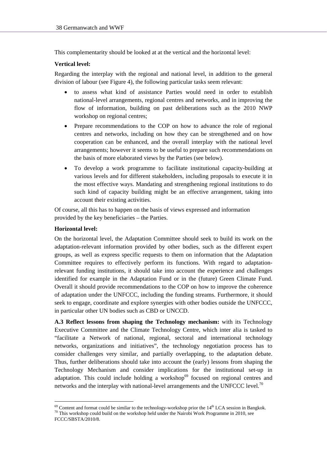This complementarity should be looked at at the vertical and the horizontal level:

### **Vertical level:**

Regarding the interplay with the regional and national level, in addition to the general division of labour (see Figure 4), the following particular tasks seem relevant:

- to assess what kind of assistance Parties would need in order to establish national-level arrangements, regional centres and networks, and in improving the flow of information, building on past deliberations such as the 2010 NWP workshop on regional centres;
- Prepare recommendations to the COP on how to advance the role of regional centres and networks, including on how they can be strengthened and on how cooperation can be enhanced, and the overall interplay with the national level arrangements; however it seems to be useful to prepare such recommendations on the basis of more elaborated views by the Parties (see below).
- To develop a work programme to facilitate institutional capacity-building at various levels and for different stakeholders, including proposals to execute it in the most effective ways. Mandating and strengthening regional institutions to do such kind of capacity building might be an effective arrangement, taking into account their existing activities.

Of course, all this has to happen on the basis of views expressed and information provided by the key beneficiaries – the Parties.

### **Horizontal level:**

On the horizontal level, the Adaptation Committee should seek to build its work on the adaptation-relevant information provided by other bodies, such as the different expert groups, as well as express specific requests to them on information that the Adaptation Committee requires to effectively perform its functions. With regard to adaptationrelevant funding institutions, it should take into account the experience and challenges identified for example in the Adaptation Fund or in the (future) Green Climate Fund. Overall it should provide recommendations to the COP on how to improve the coherence of adaptation under the UNFCCC, including the funding streams. Furthermore, it should seek to engage, coordinate and explore synergies with other bodies outside the UNFCCC, in particular other UN bodies such as CBD or UNCCD.

**A.3 Reflect lessons from shaping the Technology mechanism:** with its Technology Executive Committee and the Climate Technology Centre, which inter alia is tasked to "facilitate a Network of national, regional, sectoral and international technology networks, organizations and initiatives", the technology negotiation process has to consider challenges very similar, and partially overlapping, to the adaptation debate. Thus, further deliberations should take into account the (early) lessons from shaping the Technology Mechanism and consider implications for the institutional set-up in adaptation. This could include holding a workshop $69$  focused on regional centres and networks and the interplay with national-level arrangements and the UNFCCC level.<sup>70</sup>

<sup>&</sup>lt;sup>69</sup> Content and format could be similar to the technology-workshop prior the  $14<sup>th</sup> LCA$  session in Bangkok.<br><sup>70</sup> This workshop could build on the workshop held under the Nairobi Work Programme in 2010, see

FCCC/SBSTA/2010/8.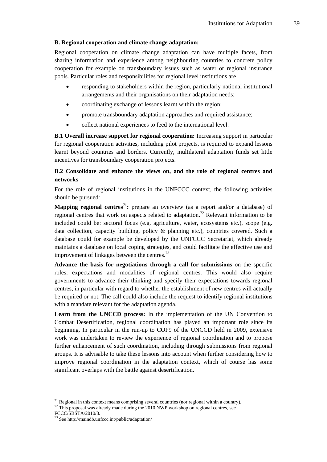#### **B. Regional cooperation and climate change adaptation:**

Regional cooperation on climate change adaptation can have multiple facets, from sharing information and experience among neighbouring countries to concrete policy cooperation for example on transboundary issues such as water or regional insurance pools. Particular roles and responsibilities for regional level institutions are

- responding to stakeholders within the region, particularly national institutional arrangements and their organisations on their adaptation needs;
- coordinating exchange of lessons learnt within the region;
- promote transboundary adaptation approaches and required assistance;
- collect national experiences to feed to the international level.

**B.1 Overall increase support for regional cooperation:** Increasing support in particular for regional cooperation activities, including pilot projects, is required to expand lessons learnt beyond countries and borders. Currently, multilateral adaptation funds set little incentives for transboundary cooperation projects.

### **B.2 Consolidate and enhance the views on, and the role of regional centres and networks**

For the role of regional institutions in the UNFCCC context, the following activities should be pursued:

**Mapping regional centres<sup>71</sup>:** prepare an overview (as a report and/or a database) of regional centres that work on aspects related to adaptation.<sup>72</sup> Relevant information to be included could be: sectoral focus (e.g. agriculture, water, ecosystems etc.), scope (e.g. data collection, capacity building, policy & planning etc.), countries covered. Such a database could for example be developed by the UNFCCC Secretariat, which already maintains a database on local coping strategies, and could facilitate the effective use and improvement of linkages between the centres.<sup>73</sup>

**Advance the basis for negotiations through a call for submissions** on the specific roles, expectations and modalities of regional centres. This would also require governments to advance their thinking and specify their expectations towards regional centres, in particular with regard to whether the establishment of new centres will actually be required or not. The call could also include the request to identify regional institutions with a mandate relevant for the adaptation agenda.

**Learn from the UNCCD process:** In the implementation of the UN Convention to Combat Desertification, regional coordination has played an important role since its beginning. In particular in the run-up to COP9 of the UNCCD held in 2009, extensive work was undertaken to review the experience of regional coordination and to propose further enhancement of such coordination, including through submissions from regional groups. It is advisable to take these lessons into account when further considering how to improve regional coordination in the adaptation context, which of course has some significant overlaps with the battle against desertification.

<sup>&</sup>lt;sup>71</sup> Regional in this context means comprising several countries (nor regional within a country). <sup>72</sup> This proposal was already made during the 2010 NWP workshop on regional centres, see

FCCC/SBSTA/2010/8.

 $3$  See http://maindb.unfccc.int/public/adaptation/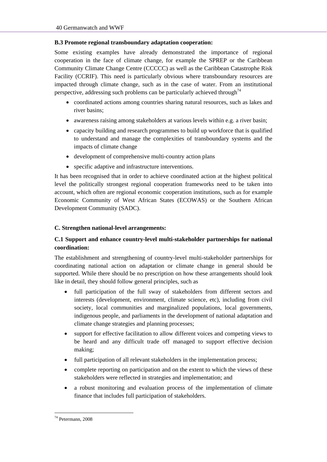### **B.3 Promote regional transboundary adaptation cooperation:**

Some existing examples have already demonstrated the importance of regional cooperation in the face of climate change, for example the SPREP or the Caribbean Community Climate Change Centre (CCCCC) as well as the Caribbean Catastrophe Risk Facility (CCRIF). This need is particularly obvious where transboundary resources are impacted through climate change, such as in the case of water. From an institutional perspective, addressing such problems can be particularly achieved through<sup>74</sup>

- coordinated actions among countries sharing natural resources, such as lakes and river basins;
- awareness raising among stakeholders at various levels within e.g. a river basin;
- capacity building and research programmes to build up workforce that is qualified to understand and manage the complexities of transboundary systems and the impacts of climate change
- development of comprehensive multi-country action plans
- specific adaptive and infrastructure interventions.

It has been recognised that in order to achieve coordinated action at the highest political level the politically strongest regional cooperation frameworks need to be taken into account, which often are regional economic cooperation institutions, such as for example Economic Community of West African States (ECOWAS) or the Southern African Development Community (SADC).

### **C. Strengthen national-level arrangements:**

### **C.1 Support and enhance country-level multi-stakeholder partnerships for national coordination:**

The establishment and strengthening of country-level multi-stakeholder partnerships for coordinating national action on adaptation or climate change in general should be supported. While there should be no prescription on how these arrangements should look like in detail, they should follow general principles, such as

- full participation of the full sway of stakeholders from different sectors and interests (development, environment, climate science, etc), including from civil society, local communities and marginalized populations, local governments, indigenous people, and parliaments in the development of national adaptation and climate change strategies and planning processes;
- support for effective facilitation to allow different voices and competing views to be heard and any difficult trade off managed to support effective decision making;
- full participation of all relevant stakeholders in the implementation process;
- complete reporting on participation and on the extent to which the views of these stakeholders were reflected in strategies and implementation; and
- a robust monitoring and evaluation process of the implementation of climate finance that includes full participation of stakeholders.

<sup>74</sup> Petermann, 2008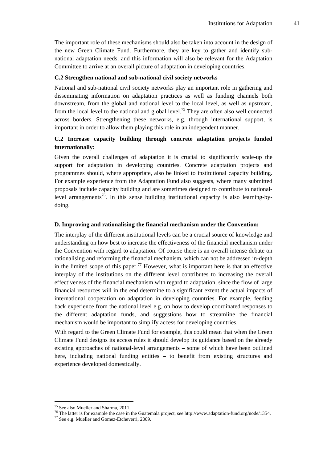The important role of these mechanisms should also be taken into account in the design of the new Green Climate Fund. Furthermore, they are key to gather and identify subnational adaptation needs, and this information will also be relevant for the Adaptation Committee to arrive at an overall picture of adaptation in developing countries.

#### **C.2 Strengthen national and sub-national civil society networks**

National and sub-national civil society networks play an important role in gathering and disseminating information on adaptation practices as well as funding channels both downstream, from the global and national level to the local level, as well as upstream, from the local level to the national and global level.<sup>75</sup> They are often also well connected across borders. Strengthening these networks, e.g. through international support, is important in order to allow them playing this role in an independent manner.

### **C.2 Increase capacity building through concrete adaptation projects funded internationally:**

Given the overall challenges of adaptation it is crucial to significantly scale-up the support for adaptation in developing countries. Concrete adaptation projects and programmes should, where appropriate, also be linked to institutional capacity building. For example experience from the Adaptation Fund also suggests, where many submitted proposals include capacity building and are sometimes designed to contribute to nationallevel arrangements<sup>76</sup>. In this sense building institutional capacity is also learning-bydoing.

### **D. Improving and rationalising the financial mechanism under the Convention:**

The interplay of the different institutional levels can be a crucial source of knowledge and understanding on how best to increase the effectiveness of the financial mechanism under the Convention with regard to adaptation. Of course there is an overall intense debate on rationalising and reforming the financial mechanism, which can not be addressed in-depth in the limited scope of this paper.<sup>77</sup> However, what is important here is that an effective interplay of the institutions on the different level contributes to increasing the overall effectiveness of the financial mechanism with regard to adaptation, since the flow of large financial resources will in the end determine to a significant extent the actual impacts of international cooperation on adaptation in developing countries. For example, feeding back experience from the national level e.g. on how to develop coordinated responses to the different adaptation funds, and suggestions how to streamline the financial mechanism would be important to simplify access for developing countries.

With regard to the Green Climate Fund for example, this could mean that when the Green Climate Fund designs its access rules it should develop its guidance based on the already existing approaches of national-level arrangements – some of which have been outlined here, including national funding entities – to benefit from existing structures and experience developed domestically.

<sup>75</sup> See also Mueller and Sharma, 2011.

<sup>&</sup>lt;sup>76</sup> The latter is for example the case in the Guatemala project, see http://www.adaptation-fund.org/node/1354.<br><sup>77</sup> See e.g. Mueller and Gomez-Etcheverri, 2009.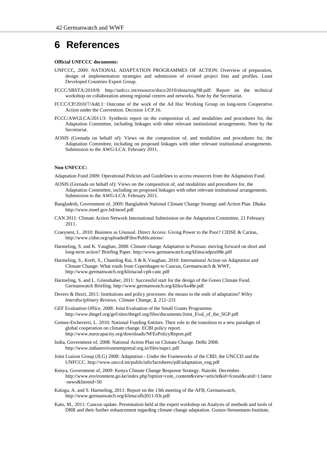### **6 References**

#### **Official UNFCCC documents:**

- UNFCCC, 2009: NATIONAL ADAPTATION PROGRAMMES OF ACTION: Overview of preparation, design of implementation strategies and submission of revised project lists and profiles. Least Developed Countries Expert Group.
- FCCC/SBSTA/2010/8: http://unfccc.int/resource/docs/2010/sbsta/eng/08.pdf: Report on the technical workshop on collaboration among regional centres and networks. Note by the Secretariat.
- FCCC/CP/2010/7/Add.1: Outcome of the work of the Ad Hoc Working Group on long-term Cooperative Action under the Convention. Decision 1/CP.16.
- FCCC/AWGLCA/2011/3: Synthesis report on the composition of, and modalities and procedures for, the Adaptation Committee, including linkages with other relevant institutional arrangements. Note by the Secretariat.
- AOSIS (Grenada on behalf of): Views on the composition of, and modalities and procedures for, the Adaptation Committee, including on proposed linkages with other relevant institutional arrangements. Submission to the AWG-LCA. February 2011.

#### **Non-UNFCCC:**

Adaptation Fund 2009: Operational Policies and Guidelines to access resources from the Adaptation Fund.

- AOSIS (Grenada on behalf of): Views on the composition of, and modalities and procedures for, the Adaptation Committee, including on proposed linkages with other relevant institutional arrangements. Submission to the AWG-LCA. February 2011.
- Bangladesh, Government of, 2009: Bangladesh National Climate Change Strategy and Action Plan. Dhaka http://www.moef.gov.bd/moef.pdf
- CAN 2011: Climate Action Network International Submission on the Adaptation Committee, 21 February 2011.
- Craeynest, L. 2010: Business as Unusual. Direct Access: Giving Power to the Poor? CIDSE & Caritas, http://www.cidse.org/uploadedFiles/Publications/
- Harmeling, S. and K. Vaughan, 2008: Climate change Adaptation in Poznan: moving forward on short and long-term action? Briefing Paper. http://www.germanwatch.org/klima/adpoz08e.pdf
- Harmeling, S., Kreft, S., Chamling Rai, S & K.Vaughan, 2010: International Action on Adaptation and Climate Change: What roads from Copenhagen to Cancun, Germanwatch & WWF, http://www.germanwatch.org/klima/ad-cph-canc.pdf
- Harmeling, S. and L. Griesshaber, 2011: Successful start for the design of the Green Climate Fund. Germanwatch Briefing. http://www.germanwatch.org/kliko/ks48e.pdf
- Dovers & Hezri, 2011: Institutions and policy processes: the means to the ends of adaptation? *Wiley Interdisciplinary Reviews: Climate Change,* **2**, 212–231
- GEF Evaluation Office, 2008: Joint Evaluation of the Small Grants Programme. http://www.thegef.org/gef/sites/thegef.org/files/documents/Joint\_Eval\_of\_the\_SGP.pdf
- Gomez-Etcheverri, L. 2010: National Funding Entities. Their role in the transition to a new paradigm of global cooperation on climate change. ECBI policy report. http://www.eurocapacity.org/downloads/NFEsPolicyReport.pdf
- India, Government of, 2008: National Action Plan on Climate Change. Delhi 2008. http://www.indiaenvironmentportal.org.in/files/napcc.pdf
- Joint Liaison Group (JLG) 2008: Adaptation Under the Frameworks of the CBD, the UNCCD and the UNFCCC. http://www.unccd.int/publicinfo/factsheets/pdf/adaptation\_eng.pdf
- Kenya, Government of, 2009: Kenya Climate Change Response Strategy. Nairobi. December. http://www.environment.go.ke/index.php?option=com\_content&view=article&id=6:eeai&catid=1:latest -news&Itemid=50
- Kaloga, A. and S. Harmeling, 2011: Report on the 13th meeting of the AFB, Germanwatch, http://www.germanwatch.org/klima/afb2011-03r.pdf
- Kato, M., 2011: Cancun update. Presentation held at the expert workshop on Analysis of methods and tools of DRR and their further enhancement regarding climate change adaptation. Gustav-Stresemann-Institute,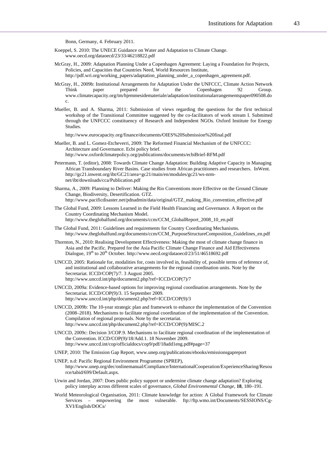Bonn, Germany, 4. February 2011.

- Koeppel, S. 2010: The UNECE Guidance on Water and Adaptation to Climate Change. www.oecd.org/dataoecd/23/33/46218822.pdf
- McGray, H., 2009: Adaptation Planning Under a Copenhagen Agreement: Laying a Foundation for Projects, Policies, and Capacities that Countries Need, World Resources Institute, http://pdf.wri.org/working\_papers/adaptation\_planning\_under\_a\_copenhagen\_agreement.pdf.
- McGray, H., 2009b: Institutional Arrangements for Adaptation Under the UNFCCC, Climate Action Network Think paper prepared for the Copenhagen 92 Group. www.climatecapacity.org/tm/hjemmesidemateriale/adaptation/institutionalarrangementspaper090508.do c.
- Mueller, B. and A. Sharma, 2011: Submission of views regarding the questions for the first technical workshop of the Transitional Committee suggested by the co-facilitators of work stream I. Submitted through the UNFCCC constituency of Research and Independent NGOs. Oxford Institute for Energy Studies.

http://www.eurocapacity.org/finance/documents/OIES%20Submission%20final.pdf

- Mueller, B. and L. Gomez-Etcheverri, 2009: The Reformed Financial Mechanism of the UNFCCC: Architecture and Governance. Ecbi policy brief. http://www.oxfordclimatepolicy.org/publications/documents/ecbiBrief-RFM.pdf
- Petermann, T. (editor), 2008: Towards Climate Change Adaptation: Building Adaptive Capacity in Managing African Transboundary River Basins. Case studies from African practitioners and researchers. InWent. http://gc21.inwent.org/ibt/GC21/area=gc21/main/en/modules/gc21/ws-nrmnet/ibt/downloads/cca/Publication.pdf
- Sharma, A., 2009: Planning to Deliver: Making the Rio Conventions more Effective on the Ground Climate Change, Biodiversity, Desertification. GTZ. http://www.pacificdisaster.net/pdnadmin/data/original/GTZ\_making\_Rio\_convention\_effective.pdf
- The Global Fund, 2009: Lessons Learned in the Field Health Financing and Governance. A Report on the Country Coordinating Mechanism Model. http://www.theglobalfund.org/documents/ccm/CCM\_GlobalReport\_2008\_10\_en.pdf
- The Global Fund, 2011: Guidelines and requirements for Country Coordinating Mechanisms. http://www.theglobalfund.org/documents/ccm/CCM\_PurposeStructureComposition\_Guidelines\_en.pdf
- Thornton, N., 2010: Realising Development Effectiveness: Making the most of climate change finance in Asia and the Pacific. Prepared for the Asia Pacific Climate Change Finance and Aid Effectiveness Dialogue, 19<sup>th</sup> to 20<sup>th</sup> October. http://www.oecd.org/dataoecd/23/51/46518692.pdf
- UNCCD, 2005: Rationale for, modalities for, costs involved in, feasibility of, possible terms of reference of, and institutional and collaborative arrangements for the regional coordination units. Note by the Secretariat. ICCD/COP(7)/7. 3 August 2005. http://www.unccd.int/php/document2.php?ref=ICCD/COP(7)/7
- UNCCD, 2009a: Evidence-based options for improving regional coordination arrangements. Note by the Secretariat. ICCD/COP(9)/3. 15 September 2009. http://www.unccd.int/php/document2.php?ref=ICCD/COP(9)/3
- UNCCD, 2009b: The 10-year strategic plan and framework to enhance the implementation of the Convention (2008–2018). Mechanisms to facilitate regional coordination of the implementation of the Convention. Compilation of regional proposals. Note by the secretariat. http://www.unccd.int/php/document2.php?ref=ICCD/COP(9)/MISC.2
- UNCCD, 2009c: Decision 3/COP.9. Mechanisms to facilitate regional coordination of the implementation of the Convention. ICCD/COP(9)/18/Add.1. 18 November 2009. http://www.unccd.int/cop/officialdocs/cop9/pdf/18add1eng.pdf#page=37
- UNEP, 2010: The Emission Gap Report, www.unep.org/publications/ebooks/emissionsgapreport
- UNEP, n.d: Pacific Regional Environment Programme (SPREP), http://www.unep.org/dec/onlinemanual/Compliance/InternationalCooperation/ExperienceSharing/Resou rce/tabid/699/Default.aspx.
- Urwin and Jordan, 2007: Does public policy support or undermine climate change adaptation? Exploring policy interplay across different scales of governance, *Global Environmental Change,* **18**, 180–191.
- World Meteorological Organisation, 2011: Climate knowledge for action: A Global Framework for Climate Services – empowering the most vulnerable. ftp://ftp.wmo.int/Documents/SESSIONS/Cg-XVI/English/DOCs/